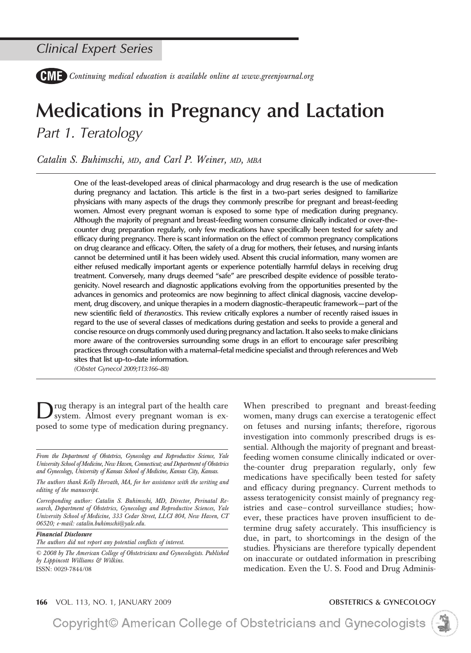*Continuing medical education is available online at www.greenjournal.org*

# **Medications in Pregnancy and Lactation** *Part 1. Teratology*

*Catalin S. Buhimschi, MD, and Carl P. Weiner, MD, MBA*

**One of the least-developed areas of clinical pharmacology and drug research is the use of medication during pregnancy and lactation. This article is the first in a two-part series designed to familiarize physicians with many aspects of the drugs they commonly prescribe for pregnant and breast-feeding women. Almost every pregnant woman is exposed to some type of medication during pregnancy. Although the majority of pregnant and breast-feeding women consume clinically indicated or over-thecounter drug preparation regularly, only few medications have specifically been tested for safety and efficacy during pregnancy. There is scant information on the effect of common pregnancy complications on drug clearance and efficacy. Often, the safety of a drug for mothers, their fetuses, and nursing infants cannot be determined until it has been widely used. Absent this crucial information, many women are either refused medically important agents or experience potentially harmful delays in receiving drug treatment. Conversely, many drugs deemed "safe" are prescribed despite evidence of possible teratogenicity. Novel research and diagnostic applications evolving from the opportunities presented by the advances in genomics and proteomics are now beginning to affect clinical diagnosis, vaccine development, drug discovery, and unique therapies in a modern diagnostic–therapeutic framework—part of the new scientific field of** *theranostics***. This review critically explores a number of recently raised issues in regard to the use of several classes of medications during gestation and seeks to provide a general and concise resource on drugs commonly used during pregnancy and lactation. It also seeks to make clinicians more aware of the controversies surrounding some drugs in an effort to encourage safer prescribing practices through consultation with a maternal–fetal medicine specialist and through references and Web sites that list up-to-date information.**

*(Obstet Gynecol 2009;113:166–88)*

Drug therapy is an integral part of the health care system. Almost every pregnant woman is exposed to some type of medication during pregnancy.

*From the Department of Obstetrics, Gynecology and Reproductive Science, Yale University School of Medicine, New Haven, Connecticut; and Department of Obstetrics and Gynecology, University of Kansas School of Medicine, Kansas City, Kansas.*

*The authors thank Kelly Horvath, MA, for her assistance with the writing and editing of the manuscript.*

*Corresponding author: Catalin S. Buhimschi, MD, Director, Perinatal Research, Department of Obstetrics, Gynecology and Reproductive Sciences, Yale University School of Medicine, 333 Cedar Street, LLCI 804, New Haven, CT 06520; e-mail: catalin.buhimschi@yale.edu.*

*Financial Disclosure The authors did not report any potential conflicts of interest.*

*© 2008 by The American College of Obstetricians and Gynecologists. Published by Lippincott Williams & Wilkins.* ISSN: 0029-7844/08

When prescribed to pregnant and breast-feeding women, many drugs can exercise a teratogenic effect on fetuses and nursing infants; therefore, rigorous investigation into commonly prescribed drugs is essential. Although the majority of pregnant and breastfeeding women consume clinically indicated or overthe-counter drug preparation regularly, only few medications have specifically been tested for safety and efficacy during pregnancy. Current methods to assess teratogenicity consist mainly of pregnancy registries and case– control surveillance studies; however, these practices have proven insufficient to determine drug safety accurately. This insufficiency is due, in part, to shortcomings in the design of the studies. Physicians are therefore typically dependent on inaccurate or outdated information in prescribing medication. Even the U. S. Food and Drug Adminis-



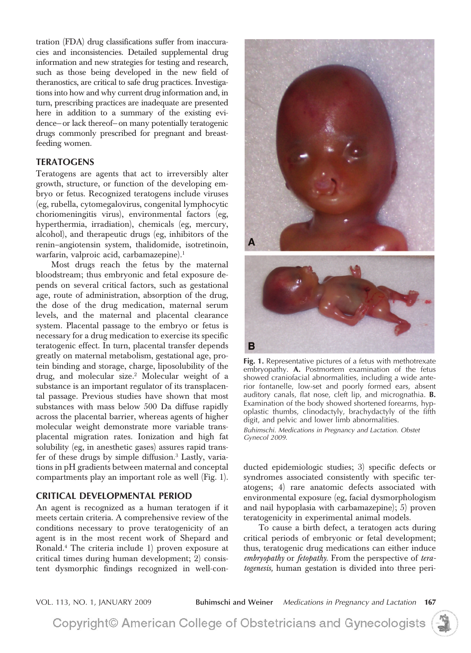tration (FDA) drug classifications suffer from inaccuracies and inconsistencies. Detailed supplemental drug information and new strategies for testing and research, such as those being developed in the new field of theranostics, are critical to safe drug practices. Investigations into how and why current drug information and, in turn, prescribing practices are inadequate are presented here in addition to a summary of the existing evidence—or lack thereof—on many potentially teratogenic drugs commonly prescribed for pregnant and breastfeeding women.

### **TERATOGENS**

Teratogens are agents that act to irreversibly alter growth, structure, or function of the developing embryo or fetus. Recognized teratogens include viruses (eg, rubella, cytomegalovirus, congenital lymphocytic choriomeningitis virus), environmental factors (eg, hyperthermia, irradiation), chemicals (eg, mercury, alcohol), and therapeutic drugs (eg, inhibitors of the renin–angiotensin system, thalidomide, isotretinoin, warfarin, valproic acid, carbamazepine).<sup>1</sup>

Most drugs reach the fetus by the maternal bloodstream; thus embryonic and fetal exposure depends on several critical factors, such as gestational age, route of administration, absorption of the drug, the dose of the drug medication, maternal serum levels, and the maternal and placental clearance system. Placental passage to the embryo or fetus is necessary for a drug medication to exercise its specific teratogenic effect. In turn, placental transfer depends greatly on maternal metabolism, gestational age, protein binding and storage, charge, liposolubility of the drug, and molecular size.<sup>2</sup> Molecular weight of a substance is an important regulator of its transplacental passage. Previous studies have shown that most substances with mass below 500 Da diffuse rapidly across the placental barrier, whereas agents of higher molecular weight demonstrate more variable transplacental migration rates. Ionization and high fat solubility (eg, in anesthetic gases) assures rapid transfer of these drugs by simple diffusion.3 Lastly, variations in pH gradients between maternal and conceptal compartments play an important role as well (Fig. 1).

### **CRITICAL DEVELOPMENTAL PERIOD**

An agent is recognized as a human teratogen if it meets certain criteria. A comprehensive review of the conditions necessary to prove teratogenicity of an agent is in the most recent work of Shepard and Ronald.4 The criteria include 1) proven exposure at critical times during human development; 2) consistent dysmorphic findings recognized in well-con-



**Fig. 1.** Representative pictures of a fetus with methotrexate embryopathy. **A.** Postmortem examination of the fetus showed craniofacial abnormalities, including a wide anterior fontanelle, low-set and poorly formed ears, absent auditory canals, flat nose, cleft lip, and micrognathia. **B.** Examination of the body showed shortened forearms, hypoplastic thumbs, clinodactyly, brachydactyly of the fifth digit, and pelvic and lower limb abnormalities.

*Buhimschi. Medications in Pregnancy and Lactation. Obstet Gynecol 2009.*

ducted epidemiologic studies; 3) specific defects or syndromes associated consistently with specific teratogens; 4) rare anatomic defects associated with environmental exposure (eg, facial dysmorphologism and nail hypoplasia with carbamazepine); 5) proven teratogenicity in experimental animal models.

To cause a birth defect, a teratogen acts during critical periods of embryonic or fetal development; thus, teratogenic drug medications can either induce *embryopathy* or *fetopathy*. From the perspective of *teratogenesis,* human gestation is divided into three peri-

VOL. 113, NO. 1, JANUARY 2009 **Buhimschi and Weiner** *Medications in Pregnancy and Lactation* **167**

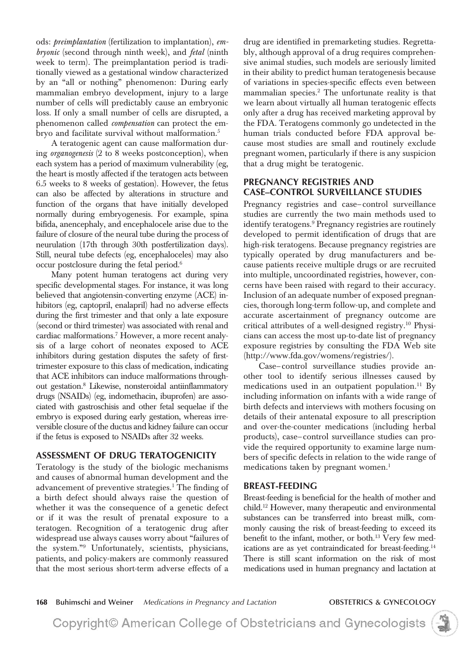ods: *preimplantation* (fertilization to implantation), *embryonic* (second through ninth week), and *fetal* (ninth week to term). The preimplantation period is traditionally viewed as a gestational window characterized by an "all or nothing" phenomenon: During early mammalian embryo development, injury to a large number of cells will predictably cause an embryonic loss. If only a small number of cells are disrupted, a phenomenon called *compensation* can protect the embryo and facilitate survival without malformation.<sup>5</sup>

A teratogenic agent can cause malformation during *organogenesis* (2 to 8 weeks postconception), when each system has a period of maximum vulnerability (eg, the heart is mostly affected if the teratogen acts between 6.5 weeks to 8 weeks of gestation). However, the fetus can also be affected by alterations in structure and function of the organs that have initially developed normally during embryogenesis. For example, spina bifida, anencephaly, and encephalocele arise due to the failure of closure of the neural tube during the process of neurulation (17th through 30th postfertilization days). Still, neural tube defects (eg, encephaloceles) may also occur postclosure during the fetal period.6

Many potent human teratogens act during very specific developmental stages. For instance, it was long believed that angiotensin-converting enzyme (ACE) inhibitors (eg, captopril, enalapril) had no adverse effects during the first trimester and that only a late exposure (second or third trimester) was associated with renal and cardiac malformations.7 However, a more recent analysis of a large cohort of neonates exposed to ACE inhibitors during gestation disputes the safety of firsttrimester exposure to this class of medication, indicating that ACE inhibitors can induce malformations throughout gestation.8 Likewise, nonsteroidal antiinflammatory drugs (NSAIDs) (eg, indomethacin, ibuprofen) are associated with gastroschisis and other fetal sequelae if the embryo is exposed during early gestation, whereas irreversible closure of the ductus and kidney failure can occur if the fetus is exposed to NSAIDs after 32 weeks.

# **ASSESSMENT OF DRUG TERATOGENICITY**

Teratology is the study of the biologic mechanisms and causes of abnormal human development and the advancement of preventive strategies.<sup>1</sup> The finding of a birth defect should always raise the question of whether it was the consequence of a genetic defect or if it was the result of prenatal exposure to a teratogen. Recognition of a teratogenic drug after widespread use always causes worry about "failures of the system."9 Unfortunately, scientists, physicians, patients, and policy-makers are commonly reassured that the most serious short-term adverse effects of a

drug are identified in premarketing studies. Regrettably, although approval of a drug requires comprehensive animal studies, such models are seriously limited in their ability to predict human teratogenesis because of variations in species-specific effects even between mammalian species.<sup>2</sup> The unfortunate reality is that we learn about virtually all human teratogenic effects only after a drug has received marketing approval by the FDA. Teratogens commonly go undetected in the human trials conducted before FDA approval because most studies are small and routinely exclude pregnant women, particularly if there is any suspicion that a drug might be teratogenic.

# **PREGNANCY REGISTRIES AND CASE–CONTROL SURVEILLANCE STUDIES**

Pregnancy registries and case– control surveillance studies are currently the two main methods used to identify teratogens.<sup>9</sup> Pregnancy registries are routinely developed to permit identification of drugs that are high-risk teratogens. Because pregnancy registries are typically operated by drug manufacturers and because patients receive multiple drugs or are recruited into multiple, uncoordinated registries, however, concerns have been raised with regard to their accuracy. Inclusion of an adequate number of exposed pregnancies, thorough long-term follow-up, and complete and accurate ascertainment of pregnancy outcome are critical attributes of a well-designed registry.10 Physicians can access the most up-to-date list of pregnancy exposure registries by consulting the FDA Web site (http://www.fda.gov/womens/registries/).

Case– control surveillance studies provide another tool to identify serious illnesses caused by medications used in an outpatient population.<sup>11</sup> By including information on infants with a wide range of birth defects and interviews with mothers focusing on details of their antenatal exposure to all prescription and over-the-counter medications (including herbal products), case– control surveillance studies can provide the required opportunity to examine large numbers of specific defects in relation to the wide range of medications taken by pregnant women.<sup>1</sup>

### **BREAST-FEEDING**

Breast-feeding is beneficial for the health of mother and child.12 However, many therapeutic and environmental substances can be transferred into breast milk, commonly causing the risk of breast-feeding to exceed its benefit to the infant, mother, or both.<sup>13</sup> Very few medications are as yet contraindicated for breast-feeding.<sup>14</sup> There is still scant information on the risk of most medications used in human pregnancy and lactation at

**168 Buhimschi and Weiner** *Medications in Pregnancy and Lactation* **OBSTETRICS & GYNECOLOGY**

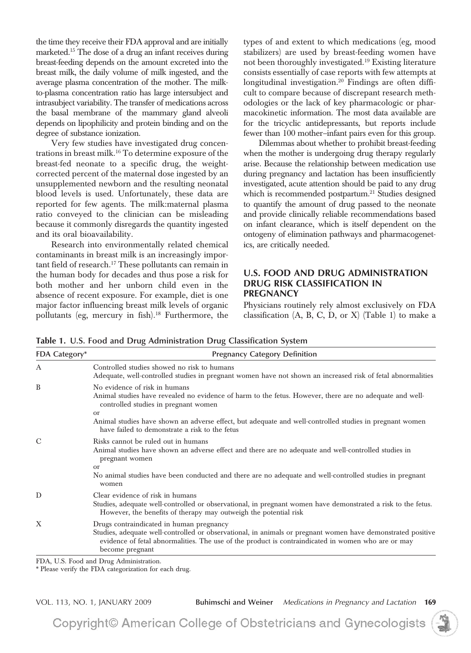the time they receive their FDA approval and are initially marketed.<sup>15</sup> The dose of a drug an infant receives during breast-feeding depends on the amount excreted into the breast milk, the daily volume of milk ingested, and the average plasma concentration of the mother. The milkto-plasma concentration ratio has large intersubject and intrasubject variability. The transfer of medications across the basal membrane of the mammary gland alveoli depends on lipophilicity and protein binding and on the degree of substance ionization.

Very few studies have investigated drug concentrations in breast milk.16 To determine exposure of the breast-fed neonate to a specific drug, the weightcorrected percent of the maternal dose ingested by an unsupplemented newborn and the resulting neonatal blood levels is used. Unfortunately, these data are reported for few agents. The milk:maternal plasma ratio conveyed to the clinician can be misleading because it commonly disregards the quantity ingested and its oral bioavailability.

Research into environmentally related chemical contaminants in breast milk is an increasingly important field of research.<sup>17</sup> These pollutants can remain in the human body for decades and thus pose a risk for both mother and her unborn child even in the absence of recent exposure. For example, diet is one major factor influencing breast milk levels of organic pollutants (eg, mercury in fish).<sup>18</sup> Furthermore, the

types of and extent to which medications (eg, mood stabilizers) are used by breast-feeding women have not been thoroughly investigated.19 Existing literature consists essentially of case reports with few attempts at longitudinal investigation.20 Findings are often difficult to compare because of discrepant research methodologies or the lack of key pharmacologic or pharmacokinetic information. The most data available are for the tricyclic antidepressants, but reports include fewer than 100 mother–infant pairs even for this group.

Dilemmas about whether to prohibit breast-feeding when the mother is undergoing drug therapy regularly arise. Because the relationship between medication use during pregnancy and lactation has been insufficiently investigated, acute attention should be paid to any drug which is recommended postpartum.<sup>21</sup> Studies designed to quantify the amount of drug passed to the neonate and provide clinically reliable recommendations based on infant clearance, which is itself dependent on the ontogeny of elimination pathways and pharmacogenetics, are critically needed.

### **U.S. FOOD AND DRUG ADMINISTRATION DRUG RISK CLASSIFICATION IN PREGNANCY**

Physicians routinely rely almost exclusively on FDA classification  $(A, B, C, D, or X)$  (Table 1) to make a

| <b>FDA Category*</b> | <b>Pregnancy Category Definition</b>                                                                                                                                                                                                                                                                                                                           |
|----------------------|----------------------------------------------------------------------------------------------------------------------------------------------------------------------------------------------------------------------------------------------------------------------------------------------------------------------------------------------------------------|
| A                    | Controlled studies showed no risk to humans<br>Adequate, well-controlled studies in pregnant women have not shown an increased risk of fetal abnormalities                                                                                                                                                                                                     |
| B                    | No evidence of risk in humans<br>Animal studies have revealed no evidence of harm to the fetus. However, there are no adequate and well-<br>controlled studies in pregnant women<br><sub>or</sub><br>Animal studies have shown an adverse effect, but adequate and well-controlled studies in pregnant women<br>have failed to demonstrate a risk to the fetus |
| $\mathcal{C}$        | Risks cannot be ruled out in humans<br>Animal studies have shown an adverse effect and there are no adequate and well-controlled studies in<br>pregnant women<br>$\alpha$<br>No animal studies have been conducted and there are no adequate and well-controlled studies in pregnant<br>women                                                                  |
| D                    | Clear evidence of risk in humans<br>Studies, adequate well-controlled or observational, in pregnant women have demonstrated a risk to the fetus.<br>However, the benefits of therapy may outweigh the potential risk                                                                                                                                           |
| $\mathbf{X}$         | Drugs contraindicated in human pregnancy<br>Studies, adequate well-controlled or observational, in animals or pregnant women have demonstrated positive<br>evidence of fetal abnormalities. The use of the product is contraindicated in women who are or may<br>become pregnant                                                                               |

**Table 1. U.S. Food and Drug Administration Drug Classification System**

FDA, U.S. Food and Drug Administration.

\* Please verify the FDA categorization for each drug.

VOL. 113, NO. 1, JANUARY 2009 **Buhimschi and Weiner** *Medications in Pregnancy and Lactation* **169**

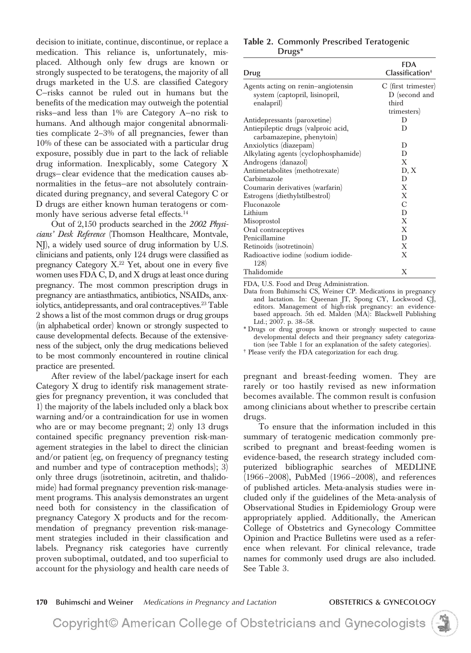decision to initiate, continue, discontinue, or replace a medication. This reliance is, unfortunately, misplaced. Although only few drugs are known or strongly suspected to be teratogens, the majority of all drugs marketed in the U.S. are classified Category C—risks cannot be ruled out in humans but the benefits of the medication may outweigh the potential risks—and less than 1% are Category A—no risk to humans. And although major congenital abnormalities complicate 2–3% of all pregnancies, fewer than 10% of these can be associated with a particular drug exposure, possibly due in part to the lack of reliable drug information. Inexplicably, some Category X drugs— clear evidence that the medication causes abnormalities in the fetus—are not absolutely contraindicated during pregnancy, and several Category C or D drugs are either known human teratogens or commonly have serious adverse fetal effects.<sup>14</sup>

Out of 2,150 products searched in the *2002 Physicians' Desk Reference* (Thomson Healthcare, Montvale, NJ), a widely used source of drug information by U.S. clinicians and patients, only 124 drugs were classified as pregnancy Category  $X<sup>22</sup>$  Yet, about one in every five women uses FDA C, D, and X drugs at least once during pregnancy. The most common prescription drugs in pregnancy are antiasthmatics, antibiotics, NSAIDs, anxiolytics, antidepressants, and oral contraceptives.<sup>23</sup> Table 2 shows a list of the most common drugs or drug groups (in alphabetical order) known or strongly suspected to cause developmental defects. Because of the extensiveness of the subject, only the drug medications believed to be most commonly encountered in routine clinical practice are presented.

After review of the label/package insert for each Category X drug to identify risk management strategies for pregnancy prevention, it was concluded that 1) the majority of the labels included only a black box warning and/or a contraindication for use in women who are or may become pregnant; 2) only 13 drugs contained specific pregnancy prevention risk-management strategies in the label to direct the clinician and/or patient (eg, on frequency of pregnancy testing and number and type of contraception methods); 3) only three drugs (isotretinoin, acitretin, and thalidomide) had formal pregnancy prevention risk-management programs. This analysis demonstrates an urgent need both for consistency in the classification of pregnancy Category X products and for the recommendation of pregnancy prevention risk-management strategies included in their classification and labels. Pregnancy risk categories have currently proven suboptimal, outdated, and too superficial to account for the physiology and health care needs of

### **Table 2. Commonly Prescribed Teratogenic Drugs\***

| Drug                                 | <b>FDA</b><br>Classification <sup>+</sup> |
|--------------------------------------|-------------------------------------------|
| Agents acting on renin-angiotensin   | C (first trimester)                       |
| system (captopril, lisinopril,       | D (second and                             |
| enalapril)                           | third                                     |
|                                      | trimesters)                               |
| Antidepressants (paroxetine)         | D                                         |
| Antiepileptic drugs (valproic acid,  | D                                         |
| carbamazepine, phenytoin)            |                                           |
| Anxiolytics (diazepam)               | D                                         |
| Alkylating agents (cyclophosphamide) | D                                         |
| Androgens (danazol)                  | X                                         |
| Antimetabolites (methotrexate)       | D, X                                      |
| Carbimazole                          | D                                         |
| Coumarin derivatives (warfarin)      | X                                         |
| Estrogens (diethylstilbestrol)       | X                                         |
| Fluconazole                          | С                                         |
| Lithium                              | D                                         |
| Misoprostol                          | X                                         |
| Oral contraceptives                  | X                                         |
| Penicillamine                        | D                                         |
| Retinoids (isotretinoin)             | X                                         |
| Radioactive iodine (sodium iodide-   | X                                         |
| 128)                                 |                                           |
| Thalidomide                          | X                                         |

FDA, U.S. Food and Drug Administration.

Data from Buhimschi CS, Weiner CP. Medications in pregnancy and lactation. In: Queenan JT, Spong CY, Lockwood CJ, editors. Management of high-risk pregnancy: an evidencebased approach. 5th ed. Malden (MA): Blackwell Publishing Ltd.; 2007. p. 38–58.

\* Drugs or drug groups known or strongly suspected to cause developmental defects and their pregnancy safety categorization (see Table 1 for an explanation of the safety categories).

† Please verify the FDA categorization for each drug.

pregnant and breast-feeding women. They are rarely or too hastily revised as new information becomes available. The common result is confusion among clinicians about whether to prescribe certain drugs.

To ensure that the information included in this summary of teratogenic medication commonly prescribed to pregnant and breast-feeding women is evidence-based, the research strategy included computerized bibliographic searches of MEDLINE (1966 –2008), PubMed (1966 –2008), and references of published articles. Meta-analysis studies were included only if the guidelines of the Meta-analysis of Observational Studies in Epidemiology Group were appropriately applied. Additionally, the American College of Obstetrics and Gynecology Committee Opinion and Practice Bulletins were used as a reference when relevant. For clinical relevance, trade names for commonly used drugs are also included. See Table 3.

### **170 Buhimschi and Weiner** *Medications in Pregnancy and Lactation* **OBSTETRICS & GYNECOLOGY**

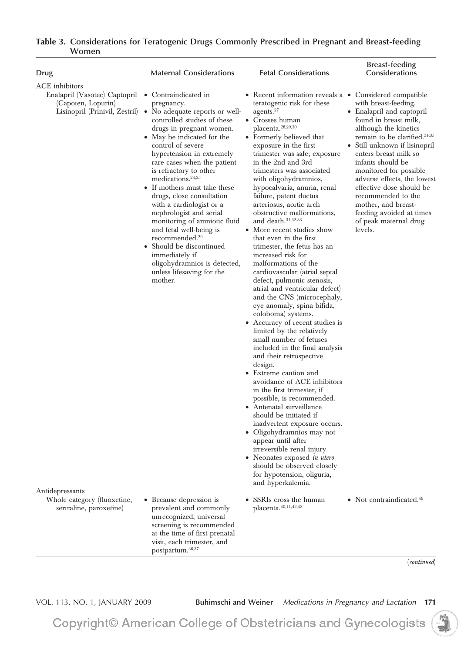| <b>Drug</b>                                                                                                   | <b>Maternal Considerations</b>                                                                                                                                                                                                                                                                                                                                                                                                                                                                                                                                                                                                                         | <b>Fetal Considerations</b>                                                                                                                                                                                                                                                                                                                                                                                                                                                                                                                                                                                                                                                                                                                                                                                                                                                                                                                                                                                                                                                                                                                                                                                                                                                                                                                                                               | <b>Breast-feeding</b><br>Considerations                                                                                                                                                                                                                                                                                                                                                                                 |
|---------------------------------------------------------------------------------------------------------------|--------------------------------------------------------------------------------------------------------------------------------------------------------------------------------------------------------------------------------------------------------------------------------------------------------------------------------------------------------------------------------------------------------------------------------------------------------------------------------------------------------------------------------------------------------------------------------------------------------------------------------------------------------|-------------------------------------------------------------------------------------------------------------------------------------------------------------------------------------------------------------------------------------------------------------------------------------------------------------------------------------------------------------------------------------------------------------------------------------------------------------------------------------------------------------------------------------------------------------------------------------------------------------------------------------------------------------------------------------------------------------------------------------------------------------------------------------------------------------------------------------------------------------------------------------------------------------------------------------------------------------------------------------------------------------------------------------------------------------------------------------------------------------------------------------------------------------------------------------------------------------------------------------------------------------------------------------------------------------------------------------------------------------------------------------------|-------------------------------------------------------------------------------------------------------------------------------------------------------------------------------------------------------------------------------------------------------------------------------------------------------------------------------------------------------------------------------------------------------------------------|
| ACE inhibitors<br>Enalapril (Vasotec) Captopril • Contraindicated in<br>(Capoten, Lopurin)<br>Antidepressants | pregnancy.<br>Lisinopril (Prinivil, Zestril) • No adequate reports or well-<br>controlled studies of these<br>drugs in pregnant women.<br>• May be indicated for the<br>control of severe<br>hypertension in extremely<br>rare cases when the patient<br>is refractory to other<br>medications. <sup>24,25</sup><br>• If mothers must take these<br>drugs, close consultation<br>with a cardiologist or a<br>nephrologist and serial<br>monitoring of amniotic fluid<br>and fetal well-being is<br>recommended. <sup>26</sup><br>Should be discontinued<br>٠<br>immediately if<br>oligohydramnios is detected,<br>unless lifesaving for the<br>mother. | • Recent information reveals a • Considered compatible<br>teratogenic risk for these<br>agents. <sup>27</sup><br>• Crosses human<br>placenta. <sup>28,29,30</sup><br>• Formerly believed that<br>exposure in the first<br>trimester was safe; exposure<br>in the 2nd and 3rd<br>trimesters was associated<br>with oligohydramnios,<br>hypocalvaria, anuria, renal<br>failure, patent ductus<br>arteriosus, aortic arch<br>obstructive malformations,<br>and death. $31,32,33$<br>• More recent studies show<br>that even in the first<br>trimester, the fetus has an<br>increased risk for<br>malformations of the<br>cardiovascular (atrial septal<br>defect, pulmonic stenosis,<br>atrial and ventricular defect)<br>and the CNS (microcephaly,<br>eye anomaly, spina bifida,<br>coloboma) systems.<br>• Accuracy of recent studies is<br>limited by the relatively<br>small number of fetuses<br>included in the final analysis<br>and their retrospective<br>design.<br>• Extreme caution and<br>avoidance of ACE inhibitors<br>in the first trimester, if<br>possible, is recommended.<br>• Antenatal surveillance<br>should be initiated if<br>inadvertent exposure occurs.<br>· Oligohydramnios may not<br>appear until after<br>irreversible renal injury.<br>• Neonates exposed <i>in utero</i><br>should be observed closely<br>for hypotension, oliguria,<br>and hyperkalemia. | with breast-feeding.<br>• Enalapril and captopril<br>found in breast milk,<br>although the kinetics<br>remain to be clarified. $34,35$<br>• Still unknown if lisinopril<br>enters breast milk so<br>infants should be<br>monitored for possible<br>adverse effects, the lowest<br>effective dose should be<br>recommended to the<br>mother, and breast-<br>feeding avoided at times<br>of peak maternal drug<br>levels. |
| Whole category (fluoxetine,<br>sertraline, paroxetine)                                                        | • Because depression is<br>prevalent and commonly<br>unrecognized, universal<br>screening is recommended<br>at the time of first prenatal<br>visit, each trimester, and<br>postpartum. <sup>36,37</sup>                                                                                                                                                                                                                                                                                                                                                                                                                                                | SSRIs cross the human<br>٠<br>placenta. 40,41,42,43                                                                                                                                                                                                                                                                                                                                                                                                                                                                                                                                                                                                                                                                                                                                                                                                                                                                                                                                                                                                                                                                                                                                                                                                                                                                                                                                       | • Not contraindicated. $49$                                                                                                                                                                                                                                                                                                                                                                                             |
|                                                                                                               |                                                                                                                                                                                                                                                                                                                                                                                                                                                                                                                                                                                                                                                        |                                                                                                                                                                                                                                                                                                                                                                                                                                                                                                                                                                                                                                                                                                                                                                                                                                                                                                                                                                                                                                                                                                                                                                                                                                                                                                                                                                                           | (continued)                                                                                                                                                                                                                                                                                                                                                                                                             |

VOL. 113, NO. 1, JANUARY 2009 **Buhimschi and Weiner** *Medications in Pregnancy and Lactation* **171**

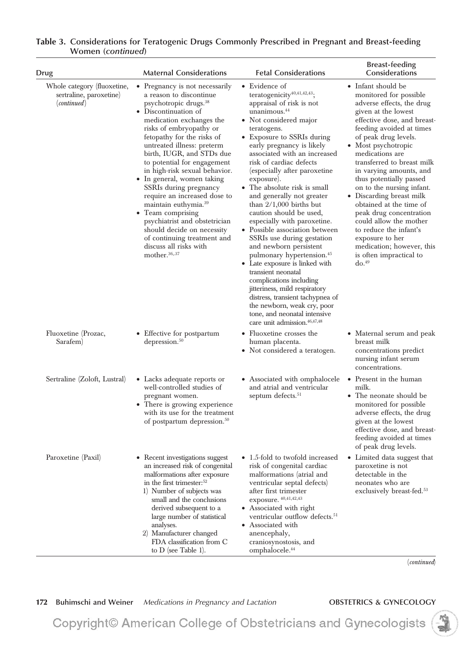| Drug                                                                  | <b>Maternal Considerations</b>                                                                                                                                                                                                                                                                                                                                                                                                                                                                                                                                                                                                     | <b>Fetal Considerations</b>                                                                                                                                                                                                                                                                                                                                                                                                                                                                                                                                                                                                                                                                                                                                                                                                                                                           | <b>Breast-feeding</b><br>Considerations                                                                                                                                                                                                                                                                                                                                                                                                                                                                                                                                              |
|-----------------------------------------------------------------------|------------------------------------------------------------------------------------------------------------------------------------------------------------------------------------------------------------------------------------------------------------------------------------------------------------------------------------------------------------------------------------------------------------------------------------------------------------------------------------------------------------------------------------------------------------------------------------------------------------------------------------|---------------------------------------------------------------------------------------------------------------------------------------------------------------------------------------------------------------------------------------------------------------------------------------------------------------------------------------------------------------------------------------------------------------------------------------------------------------------------------------------------------------------------------------------------------------------------------------------------------------------------------------------------------------------------------------------------------------------------------------------------------------------------------------------------------------------------------------------------------------------------------------|--------------------------------------------------------------------------------------------------------------------------------------------------------------------------------------------------------------------------------------------------------------------------------------------------------------------------------------------------------------------------------------------------------------------------------------------------------------------------------------------------------------------------------------------------------------------------------------|
| Whole category (fluoxetine,<br>sertraline, paroxetine)<br>(continued) | • Pregnancy is not necessarily<br>a reason to discontinue<br>psychotropic drugs. <sup>38</sup><br>• Discontinuation of<br>medication exchanges the<br>risks of embryopathy or<br>fetopathy for the risks of<br>untreated illness: preterm<br>birth, IUGR, and STDs due<br>to potential for engagement<br>in high-risk sexual behavior.<br>• In general, women taking<br>SSRIs during pregnancy<br>require an increased dose to<br>maintain euthymia. <sup>39</sup><br>• Team comprising<br>psychiatrist and obstetrician<br>should decide on necessity<br>of continuing treatment and<br>discuss all risks with<br>mother. $36,37$ | • Evidence of<br>teratogenicity $40,41,42,43$ ;<br>appraisal of risk is not<br>unanimous. <sup>44</sup><br>• Not considered major<br>teratogens.<br>• Exposure to SSRIs during<br>early pregnancy is likely<br>associated with an increased<br>risk of cardiac defects<br>(especially after paroxetine<br>exposure).<br>• The absolute risk is small<br>and generally not greater<br>than $2/1,000$ births but<br>caution should be used,<br>especially with paroxetine.<br>• Possible association between<br>SSRIs use during gestation<br>and newborn persistent<br>pulmonary hypertension. <sup>45</sup><br>• Late exposure is linked with<br>transient neonatal<br>complications including<br><i>itteriness</i> , mild respiratory<br>distress, transient tachypnea of<br>the newborn, weak cry, poor<br>tone, and neonatal intensive<br>care unit admission. <sup>46,47,48</sup> | • Infant should be<br>monitored for possible<br>adverse effects, the drug<br>given at the lowest<br>effective dose, and breast-<br>feeding avoided at times<br>of peak drug levels.<br>• Most psychotropic<br>medications are<br>transferred to breast milk<br>in varying amounts, and<br>thus potentially passed<br>on to the nursing infant.<br>• Discarding breast milk<br>obtained at the time of<br>peak drug concentration<br>could allow the mother<br>to reduce the infant's<br>exposure to her<br>medication; however, this<br>is often impractical to<br>do. <sup>49</sup> |
| Fluoxetine (Prozac,<br>Sarafem)                                       | • Effective for postpartum<br>depression. $50$                                                                                                                                                                                                                                                                                                                                                                                                                                                                                                                                                                                     | • Fluoxetine crosses the<br>human placenta.<br>• Not considered a teratogen.                                                                                                                                                                                                                                                                                                                                                                                                                                                                                                                                                                                                                                                                                                                                                                                                          | • Maternal serum and peak<br>breast milk<br>concentrations predict<br>nursing infant serum<br>concentrations.                                                                                                                                                                                                                                                                                                                                                                                                                                                                        |
| Sertraline (Zoloft, Lustral)                                          | • Lacks adequate reports or<br>well-controlled studies of<br>pregnant women.<br>• There is growing experience<br>with its use for the treatment<br>of postpartum depression. <sup>50</sup>                                                                                                                                                                                                                                                                                                                                                                                                                                         | • Associated with omphalocele<br>and atrial and ventricular<br>septum defects. <sup>51</sup>                                                                                                                                                                                                                                                                                                                                                                                                                                                                                                                                                                                                                                                                                                                                                                                          | • Present in the human<br>milk.<br>• The neonate should be<br>monitored for possible<br>adverse effects, the drug<br>given at the lowest<br>effective dose, and breast-<br>feeding avoided at times<br>of peak drug levels.                                                                                                                                                                                                                                                                                                                                                          |
| Paroxetine (Paxil)                                                    | • Recent investigations suggest<br>an increased risk of congenital<br>malformations after exposure<br>in the first trimester: $52$<br>1) Number of subjects was<br>small and the conclusions<br>derived subsequent to a<br>large number of statistical<br>analyses.<br>2) Manufacturer changed<br>FDA classification from C<br>to $D$ (see Table 1).                                                                                                                                                                                                                                                                               | • 1.5-fold to twofold increased<br>risk of congenital cardiac<br>malformations (atrial and<br>ventricular septal defects)<br>after first trimester<br>exposure. 40,41,42,43<br>• Associated with right<br>ventricular outflow defects. <sup>51</sup><br>• Associated with<br>anencephaly,<br>craniosynostosis, and<br>omphalocele. <sup>44</sup>                                                                                                                                                                                                                                                                                                                                                                                                                                                                                                                                      | • Limited data suggest that<br>paroxetine is not<br>detectable in the<br>neonates who are<br>exclusively breast-fed. <sup>53</sup>                                                                                                                                                                                                                                                                                                                                                                                                                                                   |

(*continued*)

# 172 Buhimschi and Weiner *Medications in Pregnancy and Lactation* **OBSTETRICS & GYNECOLOGY**

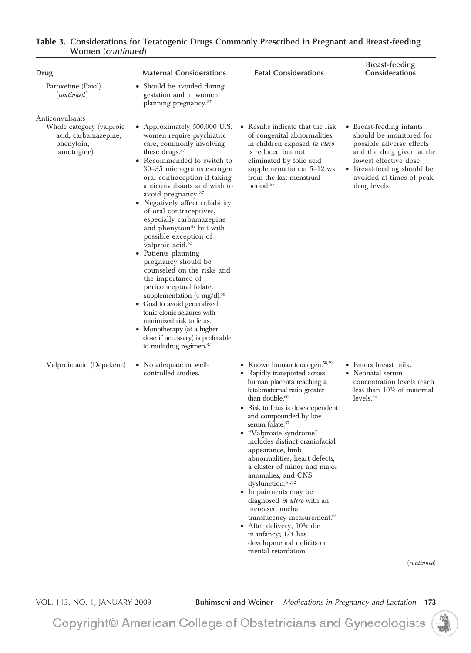| <b>Drug</b>                                                                                       | <b>Maternal Considerations</b>                                                                                                                                                                                                                                                                                                                                                                                                                                                                                                                                                                                                                                                                                                                                                                                                    | <b>Fetal Considerations</b>                                                                                                                                                                                                                                                                                                                                                                                                                                                                                                                                                                                                                                                         | <b>Breast-feeding</b><br>Considerations                                                                                                                                                                          |
|---------------------------------------------------------------------------------------------------|-----------------------------------------------------------------------------------------------------------------------------------------------------------------------------------------------------------------------------------------------------------------------------------------------------------------------------------------------------------------------------------------------------------------------------------------------------------------------------------------------------------------------------------------------------------------------------------------------------------------------------------------------------------------------------------------------------------------------------------------------------------------------------------------------------------------------------------|-------------------------------------------------------------------------------------------------------------------------------------------------------------------------------------------------------------------------------------------------------------------------------------------------------------------------------------------------------------------------------------------------------------------------------------------------------------------------------------------------------------------------------------------------------------------------------------------------------------------------------------------------------------------------------------|------------------------------------------------------------------------------------------------------------------------------------------------------------------------------------------------------------------|
| Paroxetine (Paxil)<br>(continued)                                                                 | • Should be avoided during<br>gestation and in women<br>planning pregnancy. <sup>37</sup>                                                                                                                                                                                                                                                                                                                                                                                                                                                                                                                                                                                                                                                                                                                                         |                                                                                                                                                                                                                                                                                                                                                                                                                                                                                                                                                                                                                                                                                     |                                                                                                                                                                                                                  |
| Anticonvulsants<br>Whole category (valproic<br>acid, carbamazepine,<br>phenytoin,<br>lamotrigine) | • Approximately 500,000 U.S.<br>women require psychiatric<br>care, commonly involving<br>these drugs. $37$<br>• Recommended to switch to<br>30-35 micrograms estrogen<br>oral contraception if taking<br>anticonvulsants and wish to<br>avoid pregnancy. <sup>37</sup><br>• Negatively affect reliability<br>of oral contraceptives,<br>especially carbamazepine<br>and phenytoin <sup>54</sup> but with<br>possible exception of<br>valproic acid. <sup>55</sup><br>• Patients planning<br>pregnancy should be<br>counseled on the risks and<br>the importance of<br>periconceptual folate.<br>supplementation $(4 \text{ mg}/d).^{56}$<br>• Goal to avoid generalized<br>tonic-clonic seizures with<br>minimized risk to fetus.<br>• Monotherapy (at a higher<br>dose if necessary) is preferable<br>to multidrug regimen. $37$ | • Results indicate that the risk<br>of congenital abnormalities<br>in children exposed in utero<br>is reduced but not<br>eliminated by folic acid<br>supplementation at $5-12$ wk<br>from the last menstrual<br>period. <sup>57</sup>                                                                                                                                                                                                                                                                                                                                                                                                                                               | • Breast-feeding infants<br>should be monitored for<br>possible adverse effects<br>and the drug given at the<br>lowest effective dose.<br>• Breast-feeding should be<br>avoided at times of peak<br>drug levels. |
| Valproic acid (Depakene)                                                                          | • No adequate or well-<br>controlled studies.                                                                                                                                                                                                                                                                                                                                                                                                                                                                                                                                                                                                                                                                                                                                                                                     | • Known human teratogen. $58,59$<br>• Rapidly transported across<br>human placenta reaching a<br>fetal: maternal ratio greater<br>than double. $60$<br>• Risk to fetus is dose-dependent<br>and compounded by low<br>serum folate. <sup>57</sup><br>"Valproate syndrome"<br>includes distinct craniofacial<br>appearance, limb<br>abnormalities, heart defects,<br>a cluster of minor and major<br>anomalies, and CNS<br>dysfunction. <sup>61,62</sup><br>• Impairments may be<br>diagnosed in utero with an<br>increased nuchal<br>translucency measurement. <sup>63</sup><br>• After delivery, 10% die<br>in infancy; 1/4 has<br>developmental deficits or<br>mental retardation. | • Enters breast milk.<br>• Neonatal serum<br>concentration levels reach<br>less than 10% of maternal<br>levels. <sub>64</sub>                                                                                    |

(*continued*)

VOL. 113, NO. 1, JANUARY 2009 **Buhimschi and Weiner** *Medications in Pregnancy and Lactation* **173**

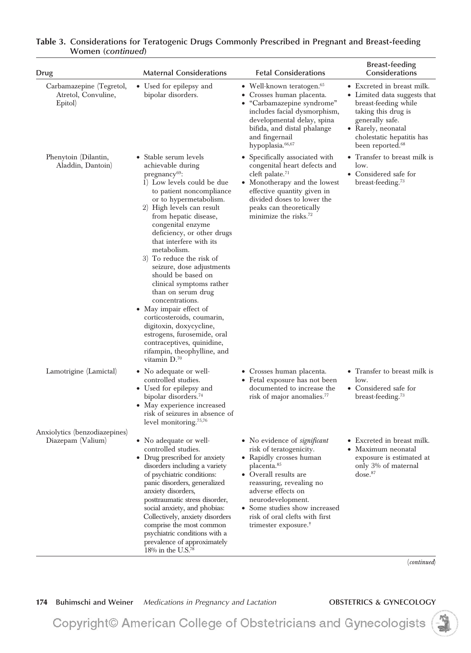| Drug                                                       | <b>Maternal Considerations</b>                                                                                                                                                                                                                                                                                                                                                                                                                                                                                                                                                                                                                                        | <b>Fetal Considerations</b>                                                                                                                                                                                                                                                                                                 | <b>Breast-feeding</b><br>Considerations                                                                                                                                                                         |
|------------------------------------------------------------|-----------------------------------------------------------------------------------------------------------------------------------------------------------------------------------------------------------------------------------------------------------------------------------------------------------------------------------------------------------------------------------------------------------------------------------------------------------------------------------------------------------------------------------------------------------------------------------------------------------------------------------------------------------------------|-----------------------------------------------------------------------------------------------------------------------------------------------------------------------------------------------------------------------------------------------------------------------------------------------------------------------------|-----------------------------------------------------------------------------------------------------------------------------------------------------------------------------------------------------------------|
| Carbamazepine (Tegretol,<br>Atretol, Convuline,<br>Epitol) | • Used for epilepsy and<br>bipolar disorders.                                                                                                                                                                                                                                                                                                                                                                                                                                                                                                                                                                                                                         | • Well-known teratogen. $65$<br>• Crosses human placenta.<br>• "Carbamazepine syndrome"<br>includes facial dysmorphism,<br>developmental delay, spina<br>bifida, and distal phalange<br>and fingernail<br>hypoplasia. <sup>66,67</sup>                                                                                      | • Excreted in breast milk.<br>• Limited data suggests that<br>breast-feeding while<br>taking this drug is<br>generally safe.<br>• Rarely, neonatal<br>cholestatic hepatitis has<br>been reported. <sup>68</sup> |
| Phenytoin (Dilantin,<br>Aladdin, Dantoin)                  | • Stable serum levels<br>achievable during<br>pregnancy <sup>69</sup> :<br>1) Low levels could be due<br>to patient noncompliance<br>or to hypermetabolism.<br>2) High levels can result<br>from hepatic disease,<br>congenital enzyme<br>deficiency, or other drugs<br>that interfere with its<br>metabolism.<br>3) To reduce the risk of<br>seizure, dose adjustments<br>should be based on<br>clinical symptoms rather<br>than on serum drug<br>concentrations.<br>• May impair effect of<br>corticosteroids, coumarin,<br>digitoxin, doxycycline,<br>estrogens, furosemide, oral<br>contraceptives, quinidine,<br>rifampin, theophylline, and<br>vitamin $D^{70}$ | • Specifically associated with<br>congenital heart defects and<br>cleft palate. $71$<br>• Monotherapy and the lowest<br>effective quantity given in<br>divided doses to lower the<br>peaks can theoretically<br>minimize the risks. $72$                                                                                    | • Transfer to breast milk is<br>low.<br>• Considered safe for<br>breast-feeding. <sup>73</sup>                                                                                                                  |
| Lamotrigine (Lamictal)                                     | • No adequate or well-<br>controlled studies.<br>• Used for epilepsy and<br>bipolar disorders. <sup>74</sup><br>• May experience increased<br>risk of seizures in absence of<br>level monitoring. <sup>75,76</sup>                                                                                                                                                                                                                                                                                                                                                                                                                                                    | • Crosses human placenta.<br>• Fetal exposure has not been<br>documented to increase the<br>risk of major anomalies. <sup>77</sup>                                                                                                                                                                                          | • Transfer to breast milk is<br>low.<br>• Considered safe for<br>breast-feeding. <sup>73</sup>                                                                                                                  |
| Anxiolytics (benzodiazepines)<br>Diazepam (Valium)         | • No adequate or well-<br>controlled studies.<br>• Drug prescribed for anxiety<br>disorders including a variety<br>of psychiatric conditions:<br>panic disorders, generalized<br>anxiety disorders,<br>posttraumatic stress disorder,<br>social anxiety, and phobias:<br>Collectively, anxiety disorders<br>comprise the most common<br>psychiatric conditions with a<br>prevalence of approximately<br>$18\%$ in the U.S. <sup>78</sup>                                                                                                                                                                                                                              | • No evidence of <i>significant</i><br>risk of teratogenicity.<br>• Rapidly crosses human<br>placenta. <sup>85</sup><br>• Overall results are<br>reassuring, revealing no<br>adverse effects on<br>neurodevelopment.<br>• Some studies show increased<br>risk of oral clefts with first<br>trimester exposure. <sup>†</sup> | • Excreted in breast milk.<br>• Maximum neonatal<br>exposure is estimated at<br>only 3% of maternal<br>dose. <sup>87</sup><br>(continued)                                                                       |

174 Buhimschi and Weiner *Medications in Pregnancy and Lactation* **OBSTETRICS & GYNECOLOGY** 

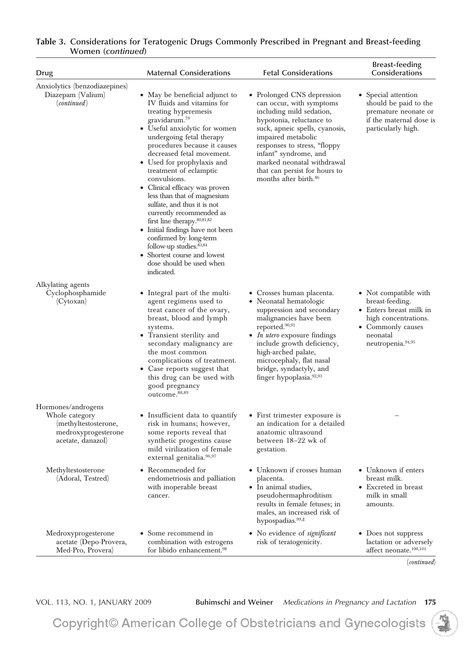| Drug                                                                                                     | <b>Maternal Considerations</b>                                                                                                                                                                                                                                                                                                                                                                                                                                                                                                                                                                                                                        | <b>Fetal Considerations</b>                                                                                                                                                                                                                                                                                                          | <b>Breast-feeding</b><br>Considerations                                                                                                                       |
|----------------------------------------------------------------------------------------------------------|-------------------------------------------------------------------------------------------------------------------------------------------------------------------------------------------------------------------------------------------------------------------------------------------------------------------------------------------------------------------------------------------------------------------------------------------------------------------------------------------------------------------------------------------------------------------------------------------------------------------------------------------------------|--------------------------------------------------------------------------------------------------------------------------------------------------------------------------------------------------------------------------------------------------------------------------------------------------------------------------------------|---------------------------------------------------------------------------------------------------------------------------------------------------------------|
| Anxiolytics (benzodiazepines)<br>Diazepam (Valium)<br>(continued)                                        | • May be beneficial adjunct to<br>IV fluids and vitamins for<br>treating hyperemesis<br>gravidarum. <sup>79</sup><br>• Useful anxiolytic for women<br>undergoing fetal therapy<br>procedures because it causes<br>decreased fetal movement.<br>• Used for prophylaxis and<br>treatment of eclamptic<br>convulsions.<br>• Clinical efficacy was proven<br>less than that of magnesium<br>sulfate, and thus it is not<br>currently recommended as<br>first line therapy. $80,81,82$<br>• Initial findings have not been<br>confirmed by long-term<br>follow-up studies. $83,84$<br>Shortest course and lowest<br>dose should be used when<br>indicated. | • Prolonged CNS depression<br>can occur, with symptoms<br>including mild sedation,<br>hypotonia, reluctance to<br>suck, apneic spells, cyanosis,<br>impaired metabolic<br>responses to stress, "floppy"<br>infant" syndrome, and<br>marked neonatal withdrawal<br>that can persist for hours to<br>months after birth. <sup>86</sup> | • Special attention<br>should be paid to the<br>premature neonate or<br>if the maternal dose is<br>particularly high.                                         |
| Alkylating agents<br>Cyclophosphamide<br>(Cytoxan)                                                       | Integral part of the multi-<br>٠<br>agent regimens used to<br>treat cancer of the ovary,<br>breast, blood and lymph<br>systems.<br>• Transient sterility and<br>secondary malignancy are<br>the most common<br>complications of treatment.<br>• Case reports suggest that<br>this drug can be used with<br>good pregnancy<br>outcome. <sup>88,89</sup>                                                                                                                                                                                                                                                                                                | • Crosses human placenta.<br>• Neonatal hematologic<br>suppression and secondary<br>malignancies have been<br>reported. <sup>90,91</sup><br>• <i>In utero</i> exposure findings<br>include growth deficiency,<br>high-arched palate,<br>microcephaly, flat nasal<br>bridge, syndactyly, and<br>finger hypoplasia. <sup>92,93</sup>   | • Not compatible with<br>breast-feeding.<br>• Enters breast milk in<br>high concentrations.<br>• Commonly causes<br>neonatal<br>neutropenia. <sup>94,95</sup> |
| Hormones/androgens<br>Whole category<br>(methyltestosterone,<br>medroxyprogesterone<br>acetate, danazol) | • Insufficient data to quantify<br>risk in humans; however,<br>some reports reveal that<br>synthetic progestins cause<br>mild virilization of female<br>external genitalia. <sup>96,97</sup>                                                                                                                                                                                                                                                                                                                                                                                                                                                          | • First trimester exposure is<br>an indication for a detailed<br>anatomic ultrasound<br>between 18-22 wk of<br>gestation.                                                                                                                                                                                                            |                                                                                                                                                               |
| Methyltestosterone<br>(Adoral, Testred)                                                                  | Recommended for<br>٠<br>endometriosis and palliation<br>with inoperable breast<br>cancer.                                                                                                                                                                                                                                                                                                                                                                                                                                                                                                                                                             | • Unknown if crosses human<br>placenta.<br>• In animal studies,<br>pseudohermaphroditism<br>results in female fetuses; in<br>males, an increased risk of<br>hypospadias. <sup>99,#</sup>                                                                                                                                             | • Unknown if enters<br>breast milk.<br>• Excreted in breast<br>milk in small<br>amounts.                                                                      |
| Medroxyprogesterone<br>acetate (Depo-Provera,<br>Med-Pro, Provera)                                       | • Some recommend in<br>combination with estrogens<br>for libido enhancement. <sup>98</sup>                                                                                                                                                                                                                                                                                                                                                                                                                                                                                                                                                            | • No evidence of <i>significant</i><br>risk of teratogenicity.                                                                                                                                                                                                                                                                       | • Does not suppress<br>lactation or adversely<br>affect neonate. <sup>100,101</sup><br>(continued)                                                            |

VOL. 113, NO. 1, JANUARY 2009 **Buhimschi and Weiner** *Medications in Pregnancy and Lactation* **175**

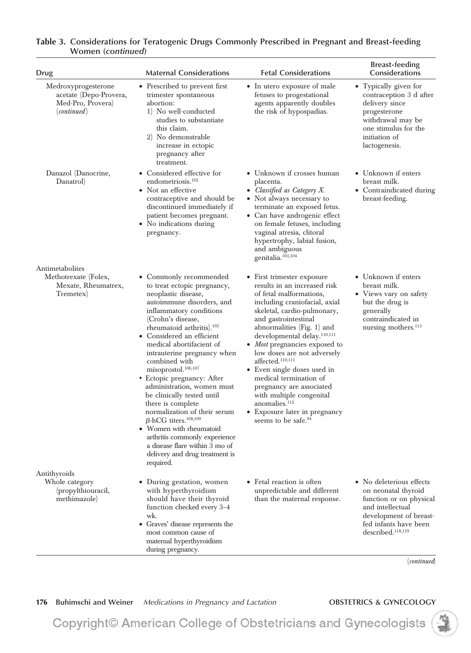| Drug                                                                              | <b>Maternal Considerations</b>                                                                                                                                                                                                                                                                                                                                                                                                                                                                                                                                                                                                                                                        | <b>Fetal Considerations</b>                                                                                                                                                                                                                                                                                                                                                                                                                                                                                                                                              | <b>Breast-feeding</b><br>Considerations                                                                                                                                                           |
|-----------------------------------------------------------------------------------|---------------------------------------------------------------------------------------------------------------------------------------------------------------------------------------------------------------------------------------------------------------------------------------------------------------------------------------------------------------------------------------------------------------------------------------------------------------------------------------------------------------------------------------------------------------------------------------------------------------------------------------------------------------------------------------|--------------------------------------------------------------------------------------------------------------------------------------------------------------------------------------------------------------------------------------------------------------------------------------------------------------------------------------------------------------------------------------------------------------------------------------------------------------------------------------------------------------------------------------------------------------------------|---------------------------------------------------------------------------------------------------------------------------------------------------------------------------------------------------|
| Medroxyprogesterone<br>acetate (Depo-Provera,<br>Med-Pro, Provera)<br>(continued) | • Prescribed to prevent first<br>trimester spontaneous<br>abortion:<br>1) No well-conducted<br>studies to substantiate<br>this claim.<br>2) No demonstrable<br>increase in ectopic<br>pregnancy after<br>treatment.                                                                                                                                                                                                                                                                                                                                                                                                                                                                   | • In utero exposure of male<br>fetuses to progestational<br>agents apparently doubles<br>the risk of hypospadias.                                                                                                                                                                                                                                                                                                                                                                                                                                                        | • Typically given for<br>contraception 3 d after<br>delivery since<br>progesterone<br>withdrawal may be<br>one stimulus for the<br>initiation of<br>lactogenesis.                                 |
| Danazol (Danocrine,<br>Danatrol                                                   | • Considered effective for<br>endometriosis. <sup>102</sup><br>• Not an effective<br>contraceptive and should be<br>discontinued immediately if<br>patient becomes pregnant.<br>• No indications during<br>pregnancy.                                                                                                                                                                                                                                                                                                                                                                                                                                                                 | • Unknown if crosses human<br>placenta.<br>• Classified as Category X.<br>• Not always necessary to<br>terminate an exposed fetus.<br>• Can have androgenic effect<br>on female fetuses, including<br>vaginal atresia, clitoral<br>hypertrophy, labial fusion,<br>and ambiguous<br>genitalia. <sup>103,104</sup>                                                                                                                                                                                                                                                         | • Unknown if enters<br>breast milk.<br>• Contraindicated during<br>breast-feeding.                                                                                                                |
| Antimetabolites<br>Methotrexate (Folex,<br>Mexate, Rheumatrex,<br>Tremetex        | • Commonly recommended<br>to treat ectopic pregnancy,<br>neoplastic disease,<br>autoimmune disorders, and<br>inflammatory conditions<br>(Crohn's disease,<br>rheumatoid arthritis). <sup>105</sup><br>• Considered an efficient<br>medical abortifacient of<br>intrauterine pregnancy when<br>combined with<br>misoprostol. <sup>106,107</sup><br>• Ectopic pregnancy: After<br>administration, women must<br>be clinically tested until<br>there is complete<br>normalization of their serum<br>$\beta$ -hCG titers. <sup>108,109</sup><br>• Women with rheumatoid<br>arthritis commonly experience<br>a disease flare within 3 mo of<br>delivery and drug treatment is<br>required. | • First trimester exposure<br>results in an increased risk<br>of fetal malformations,<br>including craniofacial, axial<br>skeletal, cardio-pulmonary,<br>and gastrointestinal<br>abnormalities $(Fig. 1)$ and<br>developmental delay. <sup>110,111</sup><br>• <i>Most</i> pregnancies exposed to<br>low doses are not adversely<br>affected. <sup>110,111</sup><br>• Even single doses used in<br>medical termination of<br>pregnancy are associated<br>with multiple congenital<br>anomalies. <sup>112</sup><br>• Exposure later in pregnancy<br>seems to be safe. $94$ | • Unknown if enters<br>breast milk.<br>• Views vary on safety<br>but the drug is<br>generally<br>contraindicated in<br>nursing mothers. <sup>113</sup>                                            |
| Antithyroids<br>Whole category<br>(propylthiouracil,<br>methimazole)              | • During gestation, women<br>with hyperthyroidism<br>should have their thyroid<br>function checked every 3-4<br>wk.<br>• Graves' disease represents the<br>most common cause of<br>maternal hyperthyroidism<br>during pregnancy.                                                                                                                                                                                                                                                                                                                                                                                                                                                      | • Fetal reaction is often<br>unpredictable and different<br>than the maternal response.                                                                                                                                                                                                                                                                                                                                                                                                                                                                                  | • No deleterious effects<br>on neonatal thyroid<br>function or on physical<br>and intellectual<br>development of breast-<br>fed infants have been<br>described. <sup>118,119</sup><br>(continued) |

176 Buhimschi and Weiner *Medications in Pregnancy and Lactation* **OBSTETRICS & GYNECOLOGY** 

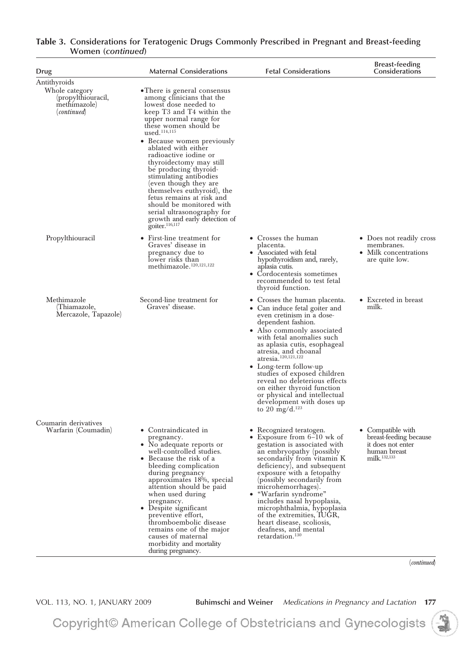| • There is general consensus<br>among clinicians that the<br>lowest dose needed to<br>keep T3 and T4 within the<br>upper normal range for<br>these women should be<br>used. <sup>114,115</sup><br>• Because women previously<br>ablated with either<br>radioactive iodine or<br>thyroidectomy may still<br>be producing thyroid-<br>stimulating antibodies<br>(even though they are<br>themselves euthyroid), the<br>fetus remains at risk and<br>should be monitored with<br>serial ultrasonography for<br>growth and early detection of |                                                                                                                                                                                                                                                                                                                                                                                                                                                                                           |                                                                                                                                    |
|-------------------------------------------------------------------------------------------------------------------------------------------------------------------------------------------------------------------------------------------------------------------------------------------------------------------------------------------------------------------------------------------------------------------------------------------------------------------------------------------------------------------------------------------|-------------------------------------------------------------------------------------------------------------------------------------------------------------------------------------------------------------------------------------------------------------------------------------------------------------------------------------------------------------------------------------------------------------------------------------------------------------------------------------------|------------------------------------------------------------------------------------------------------------------------------------|
| First-line treatment for<br>Graves' disease in<br>pregnancy due to<br>lower risks than<br>methimazole. <sup>120,121,122</sup>                                                                                                                                                                                                                                                                                                                                                                                                             | • Crosses the human<br>placenta.<br>• Associated with fetal<br>hypothyroidism and, rarely,<br>aplasia cutis.<br>• Cordocentesis sometimes<br>recommended to test fetal<br>thyroid function.                                                                                                                                                                                                                                                                                               | • Does not readily cross<br>membranes.<br>• Milk concentrations<br>are quite low.                                                  |
| Second-line treatment for<br>Graves' disease.                                                                                                                                                                                                                                                                                                                                                                                                                                                                                             | • Crosses the human placenta.<br>• Can induce fetal goiter and<br>even cretinism in a dose-<br>dependent fashion.<br>• Also commonly associated<br>with fetal anomalies such<br>as aplasia cutis, esophageal<br>atresia, and choanal<br>atresia. <sup>120,121,122</sup><br>• Long-term follow-up<br>studies of exposed children<br>reveal no deleterious effects<br>on either thyroid function<br>or physical and intellectual<br>development with doses up<br>to 20 $\text{mg/d}.^{123}$ | • Excreted in breast<br>milk.                                                                                                      |
| • Contraindicated in<br>pregnancy.<br>No adequate reports or<br>well-controlled studies.<br>Because the risk of a<br>bleeding complication<br>during pregnancy<br>approximates 18%, special<br>attention should be paid<br>when used during<br>pregnancy.<br>Despite significant<br>$\bullet$<br>preventive effort,<br>thromboembolic disease<br>remains one of the major<br>causes of maternal<br>morbidity and mortality<br>during pregnancy.                                                                                           | • Recognized teratogen.<br>Exposure from $6-10$ wk of<br>gestation is associated with<br>an embryopathy (possibly<br>secondarily from vitamin K<br>deficiency), and subsequent<br>exposure with a fetopathy<br>(possibly secondarily from<br>microhemorrhages).<br>"Warfarin syndrome"<br>includes nasal hypoplasia,<br>microphthalmia, hypoplasia<br>of the extremities, IUGR,<br>heart disease, scoliosis,<br>deafness, and mental<br>retardation. <sup>130</sup>                       | • Compatible with<br>breast-feeding because<br>it does not enter<br>human breast<br>milk. <sup>132,133</sup><br><i>(continued)</i> |
|                                                                                                                                                                                                                                                                                                                                                                                                                                                                                                                                           | goiter. <sup>116,117</sup>                                                                                                                                                                                                                                                                                                                                                                                                                                                                |                                                                                                                                    |

VOL. 113, NO. 1, JANUARY 2009 **Buhimschi and Weiner** *Medications in Pregnancy and Lactation* **177**

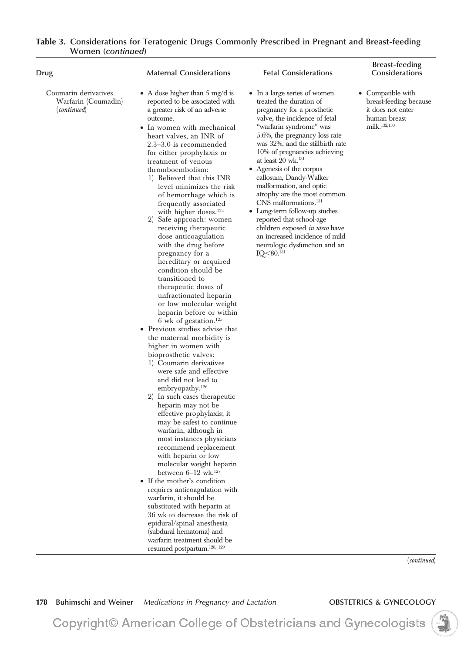| <b>Drug</b>                                                | <b>Maternal Considerations</b>                                                                                                                                                                                                                                                                                                                                                                                                                                                                                                                                                                                                                                                                                                                                                                                                                                                                                                                                                                                                                                                                                                                                                                                                                                                                                                                                                                                                                                                                                                                                                | <b>Fetal Considerations</b>                                                                                                                                                                                                                                                                                                                                                                                                                                                                                                                                                                                                             | <b>Breast-feeding</b><br>Considerations                                                                      |
|------------------------------------------------------------|-------------------------------------------------------------------------------------------------------------------------------------------------------------------------------------------------------------------------------------------------------------------------------------------------------------------------------------------------------------------------------------------------------------------------------------------------------------------------------------------------------------------------------------------------------------------------------------------------------------------------------------------------------------------------------------------------------------------------------------------------------------------------------------------------------------------------------------------------------------------------------------------------------------------------------------------------------------------------------------------------------------------------------------------------------------------------------------------------------------------------------------------------------------------------------------------------------------------------------------------------------------------------------------------------------------------------------------------------------------------------------------------------------------------------------------------------------------------------------------------------------------------------------------------------------------------------------|-----------------------------------------------------------------------------------------------------------------------------------------------------------------------------------------------------------------------------------------------------------------------------------------------------------------------------------------------------------------------------------------------------------------------------------------------------------------------------------------------------------------------------------------------------------------------------------------------------------------------------------------|--------------------------------------------------------------------------------------------------------------|
| Coumarin derivatives<br>Warfarin (Coumadin)<br>(continued) | • A dose higher than $5 \text{ mg/d}$ is<br>reported to be associated with<br>a greater risk of an adverse<br>outcome.<br>In women with mechanical<br>heart valves, an INR of<br>$2.3-3.0$ is recommended<br>for either prophylaxis or<br>treatment of venous<br>thromboembolism:<br>1) Believed that this INR<br>level minimizes the risk<br>of hemorrhage which is<br>frequently associated<br>with higher doses. $124$<br>Safe approach: women<br>2)<br>receiving therapeutic<br>dose anticoagulation<br>with the drug before<br>pregnancy for a<br>hereditary or acquired<br>condition should be<br>transitioned to<br>therapeutic doses of<br>unfractionated heparin<br>or low molecular weight<br>heparin before or within<br>6 wk of gestation. <sup>125</sup><br>• Previous studies advise that<br>the maternal morbidity is<br>higher in women with<br>bioprosthetic valves:<br>1) Coumarin derivatives<br>were safe and effective<br>and did not lead to<br>embryopathy. $126$<br>2) In such cases therapeutic<br>heparin may not be<br>effective prophylaxis; it<br>may be safest to continue<br>warfarin, although in<br>most instances physicians<br>recommend replacement<br>with heparin or low<br>molecular weight heparin<br>between $6-12$ wk. <sup>127</sup><br>• If the mother's condition<br>requires anticoagulation with<br>warfarin, it should be<br>substituted with heparin at<br>36 wk to decrease the risk of<br>epidural/spinal anesthesia<br>(subdural hematoma) and<br>warfarin treatment should be<br>resumed postpartum. <sup>128, 129</sup> | • In a large series of women<br>treated the duration of<br>pregnancy for a prosthetic<br>valve, the incidence of fetal<br>"warfarin syndrome" was<br>$5.6\%$ , the pregnancy loss rate<br>was 32%, and the stillbirth rate<br>10% of pregnancies achieving<br>at least $20$ wk. <sup>131</sup><br>• Agenesis of the corpus<br>callosum, Dandy-Walker<br>malformation, and optic<br>atrophy are the most common<br>CNS malformations. <sup>131</sup><br>• Long-term follow-up studies<br>reported that school-age<br>children exposed in utero have<br>an increased incidence of mild<br>neurologic dysfunction and an<br>$IQ<80.^{131}$ | • Compatible with<br>breast-feeding because<br>it does not enter<br>human breast<br>milk. <sup>132,133</sup> |

(*continued*)

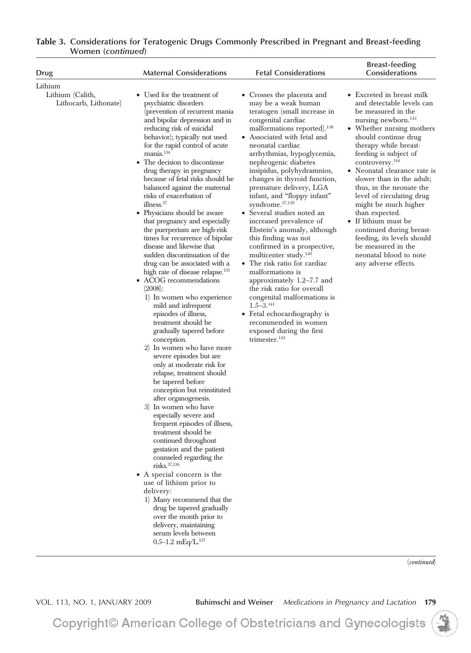| Drug                                                 | <b>Maternal Considerations</b>                                                                                                                                                                                                                                                                                                                                                                                                                                                                                                                                                                                                                                                                                                                                                                                                                                                                                                                                                                                                                                                                                                                                                                                                                                                                                                                                                                                                                                                                                                                                                | <b>Fetal Considerations</b>                                                                                                                                                                                                                                                                                                                                                                                                                                                                                                                                                                                                                                                                                                                                                                                                                                                             | <b>Breast-feeding</b><br>Considerations                                                                                                                                                                                                                                                                                                                                                                                                                                                                                                                                         |
|------------------------------------------------------|-------------------------------------------------------------------------------------------------------------------------------------------------------------------------------------------------------------------------------------------------------------------------------------------------------------------------------------------------------------------------------------------------------------------------------------------------------------------------------------------------------------------------------------------------------------------------------------------------------------------------------------------------------------------------------------------------------------------------------------------------------------------------------------------------------------------------------------------------------------------------------------------------------------------------------------------------------------------------------------------------------------------------------------------------------------------------------------------------------------------------------------------------------------------------------------------------------------------------------------------------------------------------------------------------------------------------------------------------------------------------------------------------------------------------------------------------------------------------------------------------------------------------------------------------------------------------------|-----------------------------------------------------------------------------------------------------------------------------------------------------------------------------------------------------------------------------------------------------------------------------------------------------------------------------------------------------------------------------------------------------------------------------------------------------------------------------------------------------------------------------------------------------------------------------------------------------------------------------------------------------------------------------------------------------------------------------------------------------------------------------------------------------------------------------------------------------------------------------------------|---------------------------------------------------------------------------------------------------------------------------------------------------------------------------------------------------------------------------------------------------------------------------------------------------------------------------------------------------------------------------------------------------------------------------------------------------------------------------------------------------------------------------------------------------------------------------------|
| Lithium<br>Lithium (Calith,<br>Lithocarb, Lithonate) | • Used for the treatment of<br>psychiatric disorders<br>(prevention of recurrent mania<br>and bipolar depression and in<br>reducing risk of suicidal<br>behavior); typically not used<br>for the rapid control of acute<br>mania. <sup>134</sup><br>The decision to discontinue<br>drug therapy in pregnancy<br>because of fetal risks should be<br>balanced against the maternal<br>risks of exacerbation of<br>illness. <sup>37</sup><br>• Physicians should be aware<br>that pregnancy and especially<br>the puerperium are high-risk<br>times for recurrence of bipolar<br>disease and likewise that<br>sudden discontinuation of the<br>drug can be associated with a<br>high rate of disease relapse. <sup>135</sup><br>• ACOG recommendations<br>(2008):<br>1) In women who experience<br>mild and infrequent<br>episodes of illness,<br>treatment should be<br>gradually tapered before<br>conception.<br>2) In women who have more<br>severe episodes but are<br>only at moderate risk for<br>relapse, treatment should<br>be tapered before<br>conception but reinstituted<br>after organogenesis.<br>3) In women who have<br>especially severe and<br>frequent episodes of illness,<br>treatment should be<br>continued throughout<br>gestation and the patient<br>counseled regarding the<br>$ri$ sks. $37,136$<br>• A special concern is the<br>use of lithium prior to<br>delivery:<br>1) Many recommend that the<br>drug be tapered gradually<br>over the month prior to<br>delivery, maintaining<br>serum levels between<br>$0.5 - 1.2$ mEq/L. <sup>137</sup> | • Crosses the placenta and<br>may be a weak human<br>teratogen (small increase in<br>congenital cardiac<br>malformations reported). <sup>138</sup><br>• Associated with fetal and<br>neonatal cardiac<br>arrhythmias, hypoglycemia,<br>nephrogenic diabetes<br>insipidus, polyhydramnios,<br>changes in thyroid function,<br>premature delivery, LGA<br>infant, and "floppy infant"<br>syndrome. <sup>37,139</sup><br>• Several studies noted an<br>increased prevalence of<br>Ebstein's anomaly, although<br>this finding was not<br>confirmed in a prospective,<br>multicenter study. <sup>140</sup><br>• The risk ratio for cardiac<br>malformations is<br>approximately $1.2-7.7$ and<br>the risk ratio for overall<br>congenital malformations is<br>$1.5 - 3.141$<br>• Fetal echocardiography is<br>recommended in women<br>exposed during the first<br>trimester. <sup>142</sup> | • Excreted in breast milk<br>and detectable levels can<br>be measured in the<br>nursing newborn. <sup>143</sup><br>• Whether nursing mothers<br>should continue drug<br>therapy while breast-<br>feeding is subject of<br>controversy. <sup>144</sup><br>• Neonatal clearance rate is<br>slower than in the adult;<br>thus, in the neonate the<br>level of circulating drug<br>might be much higher<br>than expected.<br>• If lithium must be<br>continued during breast-<br>feeding, its levels should<br>be measured in the<br>neonatal blood to note<br>any adverse effects. |

(*continued*)

VOL. 113, NO. 1, JANUARY 2009 **Buhimschi and Weiner** *Medications in Pregnancy and Lactation* **179**

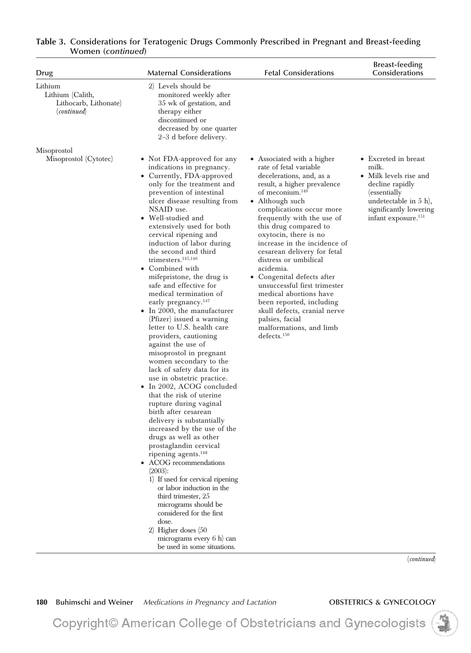| Drug                                                                | <b>Maternal Considerations</b>                                                                                                                                                                                                                                                                                                                                                                                                                                                                                                                                                                                                                                                                                                                                                                                                                                                                                                                                                                                                                                                                                                                                                                                                                                                                              | <b>Fetal Considerations</b>                                                                                                                                                                                                                                                                                                                                                                                                                                                                                                                                                                                     | <b>Breast-feeding</b><br>Considerations                                                                                                                                                      |
|---------------------------------------------------------------------|-------------------------------------------------------------------------------------------------------------------------------------------------------------------------------------------------------------------------------------------------------------------------------------------------------------------------------------------------------------------------------------------------------------------------------------------------------------------------------------------------------------------------------------------------------------------------------------------------------------------------------------------------------------------------------------------------------------------------------------------------------------------------------------------------------------------------------------------------------------------------------------------------------------------------------------------------------------------------------------------------------------------------------------------------------------------------------------------------------------------------------------------------------------------------------------------------------------------------------------------------------------------------------------------------------------|-----------------------------------------------------------------------------------------------------------------------------------------------------------------------------------------------------------------------------------------------------------------------------------------------------------------------------------------------------------------------------------------------------------------------------------------------------------------------------------------------------------------------------------------------------------------------------------------------------------------|----------------------------------------------------------------------------------------------------------------------------------------------------------------------------------------------|
| Lithium<br>Lithium (Calith,<br>Lithocarb, Lithonate)<br>(continued) | 2) Levels should be<br>monitored weekly after<br>35 wk of gestation, and<br>therapy either<br>discontinued or<br>decreased by one quarter<br>$2-3$ d before delivery.                                                                                                                                                                                                                                                                                                                                                                                                                                                                                                                                                                                                                                                                                                                                                                                                                                                                                                                                                                                                                                                                                                                                       |                                                                                                                                                                                                                                                                                                                                                                                                                                                                                                                                                                                                                 |                                                                                                                                                                                              |
| Misoprostol<br>Misoprostol (Cytotec)                                | • Not FDA-approved for any<br>indications in pregnancy.<br>• Currently, FDA-approved<br>only for the treatment and<br>prevention of intestinal<br>ulcer disease resulting from<br>NSAID use.<br>• Well-studied and<br>extensively used for both<br>cervical ripening and<br>induction of labor during<br>the second and third<br>trimesters. $145,146$<br>• Combined with<br>mifepristone, the drug is<br>safe and effective for<br>medical termination of<br>early pregnancy. <sup>147</sup><br>$\bullet$ In 2000, the manufacturer<br>(Pfizer) issued a warning<br>letter to U.S. health care<br>providers, cautioning<br>against the use of<br>misoprostol in pregnant<br>women secondary to the<br>lack of safety data for its<br>use in obstetric practice.<br>• In 2002, ACOG concluded<br>that the risk of uterine<br>rupture during vaginal<br>birth after cesarean<br>delivery is substantially<br>increased by the use of the<br>drugs as well as other<br>prostaglandin cervical<br>ripening agents. <sup>148</sup><br>• ACOG recommendations<br>(2003):<br>1) If used for cervical ripening<br>or labor induction in the<br>third trimester, 25<br>micrograms should be<br>considered for the first<br>dose.<br>2) Higher doses (50<br>micrograms every 6 h) can<br>be used in some situations. | • Associated with a higher<br>rate of fetal variable<br>decelerations, and, as a<br>result, a higher prevalence<br>of meconium. <sup>149</sup><br>• Although such<br>complications occur more<br>frequently with the use of<br>this drug compared to<br>oxytocin, there is no<br>increase in the incidence of<br>cesarean delivery for fetal<br>distress or umbilical<br>acidemia.<br>• Congenital defects after<br>unsuccessful first trimester<br>medical abortions have<br>been reported, including<br>skull defects, cranial nerve<br>palsies, facial<br>malformations, and limb<br>defects. <sup>150</sup> | • Excreted in breast<br>milk.<br>$\bullet~$ Milk levels rise and<br>decline rapidly<br>(essentially)<br>undetectable in $5$ h),<br>significantly lowering<br>infant exposure. <sup>151</sup> |
|                                                                     |                                                                                                                                                                                                                                                                                                                                                                                                                                                                                                                                                                                                                                                                                                                                                                                                                                                                                                                                                                                                                                                                                                                                                                                                                                                                                                             |                                                                                                                                                                                                                                                                                                                                                                                                                                                                                                                                                                                                                 | (continued)                                                                                                                                                                                  |

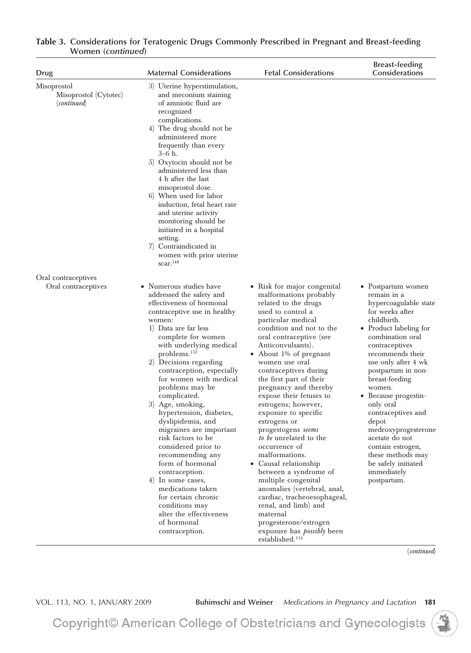| Drug                                                         | <b>Maternal Considerations</b>                                                                                                                                                                                                                                                                                                                                                                                                                                                                                                                                                                                                                                                                           | <b>Fetal Considerations</b>                                                                                                                                                                                                                                                                                                                                                                                                                                                                                                                                                                                                                                                                                                                                                           | <b>Breast-feeding</b><br>Considerations                                                                                                                                                                                                                                                                                                                                                                                                                               |
|--------------------------------------------------------------|----------------------------------------------------------------------------------------------------------------------------------------------------------------------------------------------------------------------------------------------------------------------------------------------------------------------------------------------------------------------------------------------------------------------------------------------------------------------------------------------------------------------------------------------------------------------------------------------------------------------------------------------------------------------------------------------------------|---------------------------------------------------------------------------------------------------------------------------------------------------------------------------------------------------------------------------------------------------------------------------------------------------------------------------------------------------------------------------------------------------------------------------------------------------------------------------------------------------------------------------------------------------------------------------------------------------------------------------------------------------------------------------------------------------------------------------------------------------------------------------------------|-----------------------------------------------------------------------------------------------------------------------------------------------------------------------------------------------------------------------------------------------------------------------------------------------------------------------------------------------------------------------------------------------------------------------------------------------------------------------|
| Misoprostol<br>Misoprostol (Cytotec)<br>( <i>continued</i> ) | 3) Uterine hyperstimulation,<br>and meconium staining<br>of amniotic fluid are<br>recognized<br>complications.<br>4) The drug should not be<br>administered more<br>frequently than every<br>$3-6$ h.<br>5) Oxytocin should not be<br>administered less than<br>4 h after the last<br>misoprostol dose.<br>6) When used for labor<br>induction, fetal heart rate<br>and uterine activity<br>monitoring should be<br>initiated in a hospital<br>setting.<br>7) Contraindicated in<br>women with prior uterine<br>scar. <sup>148</sup>                                                                                                                                                                     |                                                                                                                                                                                                                                                                                                                                                                                                                                                                                                                                                                                                                                                                                                                                                                                       |                                                                                                                                                                                                                                                                                                                                                                                                                                                                       |
| Oral contraceptives<br>Oral contraceptives                   | • Numerous studies have<br>addressed the safety and<br>effectiveness of hormonal<br>contraceptive use in healthy<br>women:<br>1) Data are far less<br>complete for women<br>with underlying medical<br>problems. <sup>152</sup><br>2) Decisions regarding<br>contraception, especially<br>for women with medical<br>problems may be<br>complicated.<br>3) Age, smoking,<br>hypertension, diabetes,<br>dyslipidemia, and<br>migraines are important<br>risk factors to be<br>considered prior to<br>recommending any<br>form of hormonal<br>contraception.<br>4) In some cases,<br>medications taken<br>for certain chronic<br>conditions may<br>alter the effectiveness<br>of hormonal<br>contraception. | • Risk for major congenital<br>malformations probably<br>related to the drugs<br>used to control a<br>particular medical<br>condition and not to the<br>oral contraceptive (see<br>Anticonvulsants).<br>• About $1\%$ of pregnant<br>women use oral<br>contraceptives during<br>the first part of their<br>pregnancy and thereby<br>expose their fetuses to<br>estrogens; however,<br>exposure to specific<br>estrogens or<br>progestogens seems<br>to be unrelated to the<br>occurrence of<br>malformations.<br>• Causal relationship<br>between a syndrome of<br>multiple congenital<br>anomalies (vertebral, anal,<br>cardiac, tracheoesophageal,<br>renal, and limb) and<br>maternal<br>progesterone/estrogen<br>exposure has <i>possibly</i> been<br>established. <sup>154</sup> | • Postpartum women<br>remain in a<br>hypercoagulable state<br>for weeks after<br>childbirth.<br>• Product labeling for<br>combination oral<br>contraceptives<br>recommends their<br>use only after 4 wk<br>postpartum in non-<br>breast-feeding<br>women.<br>• Because progestin-<br>only oral<br>contraceptives and<br>depot<br>medroxyprogesterone<br>acetate do not<br>contain estrogen,<br>these methods may<br>be safely initiated<br>immediately<br>postpartum. |

(*continued*)

VOL. 113, NO. 1, JANUARY 2009 **Buhimschi and Weiner** *Medications in Pregnancy and Lactation* **181**

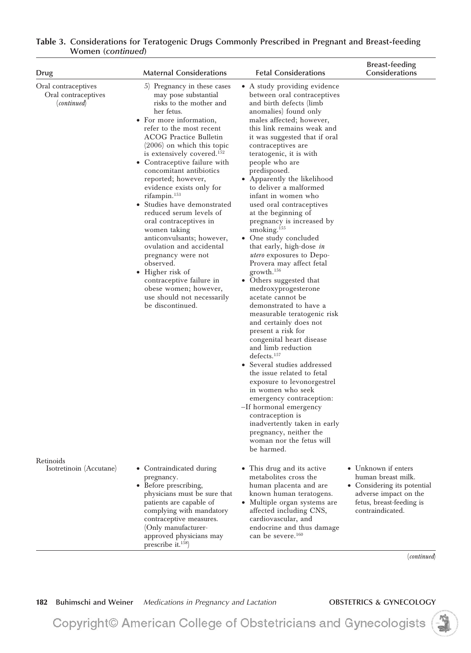| <b>Drug</b>                                               | <b>Maternal Considerations</b>                                                                                                                                                                                                                                                                                                                                                                                                                                                                                                                                                                                                                                                                                                     | <b>Fetal Considerations</b>                                                                                                                                                                                                                                                                                                                                                                                                                                                                                                                                                                                                                                                                                                                                                                                                                                                                                                                                                                                                                                                                                                                                                                       | <b>Breast-feeding</b><br>Considerations                                                                                                           |
|-----------------------------------------------------------|------------------------------------------------------------------------------------------------------------------------------------------------------------------------------------------------------------------------------------------------------------------------------------------------------------------------------------------------------------------------------------------------------------------------------------------------------------------------------------------------------------------------------------------------------------------------------------------------------------------------------------------------------------------------------------------------------------------------------------|---------------------------------------------------------------------------------------------------------------------------------------------------------------------------------------------------------------------------------------------------------------------------------------------------------------------------------------------------------------------------------------------------------------------------------------------------------------------------------------------------------------------------------------------------------------------------------------------------------------------------------------------------------------------------------------------------------------------------------------------------------------------------------------------------------------------------------------------------------------------------------------------------------------------------------------------------------------------------------------------------------------------------------------------------------------------------------------------------------------------------------------------------------------------------------------------------|---------------------------------------------------------------------------------------------------------------------------------------------------|
| Oral contraceptives<br>Oral contraceptives<br>(continued) | 5) Pregnancy in these cases<br>may pose substantial<br>risks to the mother and<br>her fetus.<br>• For more information,<br>refer to the most recent<br><b>ACOG Practice Bulletin</b><br>$(2006)$ on which this topic<br>is extensively covered. <sup>152</sup><br>• Contraceptive failure with<br>concomitant antibiotics<br>reported; however,<br>evidence exists only for<br>rifampin. <sup>153</sup><br>• Studies have demonstrated<br>reduced serum levels of<br>oral contraceptives in<br>women taking<br>anticonvulsants; however,<br>ovulation and accidental<br>pregnancy were not<br>observed.<br>• Higher risk of<br>contraceptive failure in<br>obese women; however,<br>use should not necessarily<br>be discontinued. | • A study providing evidence<br>between oral contraceptives<br>and birth defects (limb<br>anomalies) found only<br>males affected; however,<br>this link remains weak and<br>it was suggested that if oral<br>contraceptives are<br>teratogenic, it is with<br>people who are<br>predisposed.<br>• Apparently the likelihood<br>to deliver a malformed<br>infant in women who<br>used oral contraceptives<br>at the beginning of<br>pregnancy is increased by<br>smoking. <sup>155</sup><br>• One study concluded<br>that early, high-dose in<br><i>utero</i> exposures to Depo-<br>Provera may affect fetal<br>growth. <sup>156</sup><br>• Others suggested that<br>medroxyprogesterone<br>acetate cannot be<br>demonstrated to have a<br>measurable teratogenic risk<br>and certainly does not<br>present a risk for<br>congenital heart disease<br>and limb reduction<br>defects. <sup>157</sup><br>• Several studies addressed<br>the issue related to fetal<br>exposure to levonorgestrel<br>in women who seek<br>emergency contraception:<br>-If hormonal emergency<br>contraception is<br>inadvertently taken in early<br>pregnancy, neither the<br>woman nor the fetus will<br>be harmed. |                                                                                                                                                   |
| Retinoids<br>Isotretinoin (Accutane)                      | • Contraindicated during<br>pregnancy.<br>• Before prescribing,<br>physicians must be sure that<br>patients are capable of<br>complying with mandatory<br>contraceptive measures.<br>(Only manufacturer-<br>approved physicians may<br>prescribe it. $158$ )                                                                                                                                                                                                                                                                                                                                                                                                                                                                       | • This drug and its active<br>metabolites cross the<br>human placenta and are<br>known human teratogens.<br>• Multiple organ systems are<br>affected including CNS,<br>cardiovascular, and<br>endocrine and thus damage<br>can be severe. <sup>160</sup>                                                                                                                                                                                                                                                                                                                                                                                                                                                                                                                                                                                                                                                                                                                                                                                                                                                                                                                                          | • Unknown if enters<br>human breast milk.<br>• Considering its potential<br>adverse impact on the<br>fetus, breast-feeding is<br>contraindicated. |
|                                                           |                                                                                                                                                                                                                                                                                                                                                                                                                                                                                                                                                                                                                                                                                                                                    |                                                                                                                                                                                                                                                                                                                                                                                                                                                                                                                                                                                                                                                                                                                                                                                                                                                                                                                                                                                                                                                                                                                                                                                                   | (continued)                                                                                                                                       |

**182** Buhimschi and Weiner *Medications in Pregnancy and Lactation* **OBSTETRICS & GYNECOLOGY** 

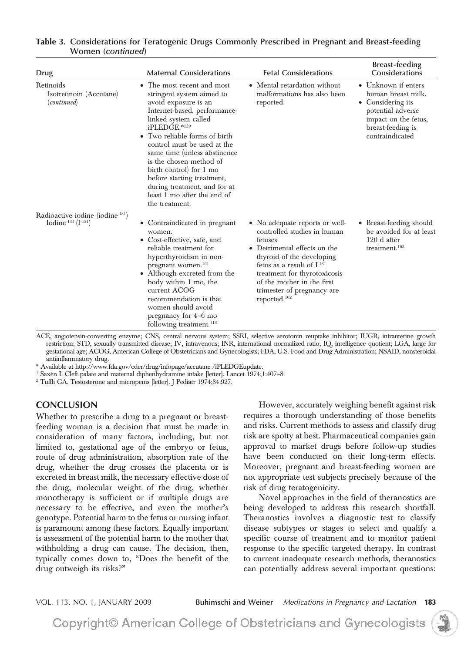| Drug                                                                          | <b>Maternal Considerations</b>                                                                                                                                                                                                                                                                                                                                                                                               | <b>Fetal Considerations</b>                                                                                                                                                                                                                                                           | <b>Breast-feeding</b><br><b>Considerations</b>                                                                                                      |
|-------------------------------------------------------------------------------|------------------------------------------------------------------------------------------------------------------------------------------------------------------------------------------------------------------------------------------------------------------------------------------------------------------------------------------------------------------------------------------------------------------------------|---------------------------------------------------------------------------------------------------------------------------------------------------------------------------------------------------------------------------------------------------------------------------------------|-----------------------------------------------------------------------------------------------------------------------------------------------------|
| Retinoids<br>Isotretinoin (Accutane)<br>(continued)                           | • The most recent and most<br>stringent system aimed to<br>avoid exposure is an<br>Internet-based, performance-<br>linked system called<br>iPLEDGE.*159<br>• Two reliable forms of birth<br>control must be used at the<br>same time (unless abstinence<br>is the chosen method of<br>birth control) for 1 mo<br>before starting treatment,<br>during treatment, and for at<br>least 1 mo after the end of<br>the treatment. | • Mental retardation without<br>malformations has also been<br>reported.                                                                                                                                                                                                              | • Unknown if enters<br>human breast milk.<br>• Considering its<br>potential adverse<br>impact on the fetus,<br>breast-feeding is<br>contraindicated |
| Radioactive iodine (iodine <sup>-131</sup> )<br>Iodine $^{131}$ (I $^{131}$ ) | • Contraindicated in pregnant<br>women.<br>• Cost-effective, safe, and<br>reliable treatment for<br>hyperthyroidism in non-<br>pregnant women. <sup>161</sup><br>• Although excreted from the<br>body within 1 mo, the<br>current ACOG<br>recommendation is that<br>women should avoid<br>pregnancy for 4–6 mo<br>following treatment. $113$                                                                                 | • No adequate reports or well-<br>controlled studies in human<br>fetuses.<br>• Detrimental effects on the<br>thyroid of the developing<br>fetus as a result of $I-131$<br>treatment for thyrotoxicosis<br>of the mother in the first<br>trimester of pregnancy are<br>reported. $162$ | • Breast-feeding should<br>be avoided for at least<br>$120$ d after<br>treatment. $163$                                                             |

ACE, angiotensin-converting enzyme; CNS, central nervous system; SSRI, selective serotonin reuptake inhibitor; IUGR, intrauterine growth restriction; STD, sexually transmitted disease; IV, intravenous; INR, international normalized ratio; IQ, intelligence quotient; LGA, large for gestational age; ACOG, American College of Obstetricians and Gynecologists; FDA, U.S. Food and Drug Administration; NSAID, nonsteroidal antiinflammatory drug.

\* Available at http://www.fda.gov/cder/drug/infopage/accutane /iPLEDGEupdate.

† Saxe´n I. Cleft palate and maternal diphenhydramine intake [letter]. Lancet 1974;1:407–8.

‡ Tuffli GA. Testosterone and micropenis [letter]. J Pediatr 1974;84:927.

### **CONCLUSION**

Whether to prescribe a drug to a pregnant or breastfeeding woman is a decision that must be made in consideration of many factors, including, but not limited to, gestational age of the embryo or fetus, route of drug administration, absorption rate of the drug, whether the drug crosses the placenta or is excreted in breast milk, the necessary effective dose of the drug, molecular weight of the drug, whether monotherapy is sufficient or if multiple drugs are necessary to be effective, and even the mother's genotype. Potential harm to the fetus or nursing infant is paramount among these factors. Equally important is assessment of the potential harm to the mother that withholding a drug can cause. The decision, then, typically comes down to, "Does the benefit of the drug outweigh its risks?"

However, accurately weighing benefit against risk requires a thorough understanding of those benefits and risks. Current methods to assess and classify drug risk are spotty at best. Pharmaceutical companies gain approval to market drugs before follow-up studies have been conducted on their long-term effects. Moreover, pregnant and breast-feeding women are not appropriate test subjects precisely because of the risk of drug teratogenicity.

Novel approaches in the field of theranostics are being developed to address this research shortfall. Theranostics involves a diagnostic test to classify disease subtypes or stages to select and qualify a specific course of treatment and to monitor patient response to the specific targeted therapy. In contrast to current inadequate research methods, theranostics can potentially address several important questions:

VOL. 113, NO. 1, JANUARY 2009 **Buhimschi and Weiner** *Medications in Pregnancy and Lactation* **183**

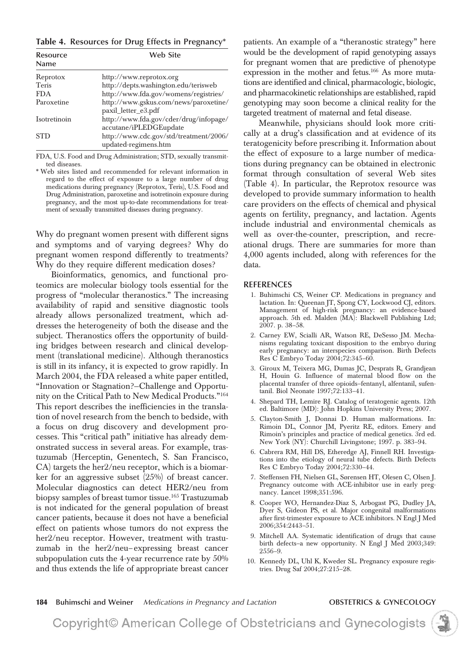**Table 4. Resources for Drug Effects in Pregnancy\***

| Resource<br>Name | Web Site                                                         |
|------------------|------------------------------------------------------------------|
| Reprotox         | http://www.reprotox.org                                          |
| <b>Teris</b>     | http://depts.washington.edu/terisweb                             |
| <b>FDA</b>       | http://www.fda.gov/womens/registries/                            |
| Paroxetine       | http://www.gskus.com/news/paroxetine/<br>paxil_letter_e3.pdf     |
| Isotretinoin     | http://www.fda.gov/cder/drug/infopage/<br>accutane/iPLEDGEupdate |
| <b>STD</b>       | http://www.cdc.gov/std/treatment/2006/<br>updated-regimens.htm   |

FDA, U.S. Food and Drug Administration; STD, sexually transmitted diseases.

\* Web sites listed and recommended for relevant information in regard to the effect of exposure to a large number of drug medications during pregnancy (Reprotox, Teris), U.S. Food and Drug Administration, paroxetine and isotretinoin exposure during pregnancy, and the most up-to-date recommendations for treatment of sexually transmitted diseases during pregnancy.

Why do pregnant women present with different signs and symptoms and of varying degrees? Why do pregnant women respond differently to treatments? Why do they require different medication doses?

Bioinformatics, genomics, and functional proteomics are molecular biology tools essential for the progress of "molecular theranostics." The increasing availability of rapid and sensitive diagnostic tools already allows personalized treatment, which addresses the heterogeneity of both the disease and the subject. Theranostics offers the opportunity of building bridges between research and clinical development (translational medicine). Although theranostics is still in its infancy, it is expected to grow rapidly. In March 2004, the FDA released a white paper entitled, "Innovation or Stagnation?—Challenge and Opportunity on the Critical Path to New Medical Products."164 This report describes the inefficiencies in the translation of novel research from the bench to bedside, with a focus on drug discovery and development processes. This "critical path" initiative has already demonstrated success in several areas. For example, trastuzumab (Herceptin, Genentech, S. San Francisco, CA) targets the her2/neu receptor, which is a biomarker for an aggressive subset (25%) of breast cancer. Molecular diagnostics can detect HER2/neu from biopsy samples of breast tumor tissue.<sup>165</sup> Trastuzumab is not indicated for the general population of breast cancer patients, because it does not have a beneficial effect on patients whose tumors do not express the her2/neu receptor. However, treatment with trastuzumab in the her2/neu– expressing breast cancer subpopulation cuts the 4-year recurrence rate by 50% and thus extends the life of appropriate breast cancer

patients. An example of a "theranostic strategy" here would be the development of rapid genotyping assays for pregnant women that are predictive of phenotype expression in the mother and fetus.<sup>166</sup> As more mutations are identified and clinical, pharmacologic, biologic, and pharmacokinetic relationships are established, rapid genotyping may soon become a clinical reality for the targeted treatment of maternal and fetal disease.

Meanwhile, physicians should look more critically at a drug's classification and at evidence of its teratogenicity before prescribing it. Information about the effect of exposure to a large number of medications during pregnancy can be obtained in electronic format through consultation of several Web sites (Table 4). In particular, the Reprotox resource was developed to provide summary information to health care providers on the effects of chemical and physical agents on fertility, pregnancy, and lactation. Agents include industrial and environmental chemicals as well as over-the-counter, prescription, and recreational drugs. There are summaries for more than 4,000 agents included, along with references for the data.

### **REFERENCES**

- 1. Buhimschi CS, Weiner CP. Medications in pregnancy and lactation. In: Queenan JT, Spong CY, Lockwood CJ, editors. Management of high-risk pregnancy: an evidence-based approach. 5th ed. Malden (MA): Blackwell Publishing Ltd; 2007. p. 38–58.
- 2. Carney EW, Scialli AR, Watson RE, DeSesso JM. Mechanisms regulating toxicant disposition to the embryo during early pregnancy: an interspecies comparison. Birth Defects Res C Embryo Today 2004;72:345–60.
- 3. Giroux M, Teixera MG, Dumas JC, Desprats R, Grandjean H, Houin G. Influence of maternal blood flow on the placental transfer of three opioids–fentanyl, alfentanil, sufentanil. Biol Neonate 1997;72:133–41.
- 4. Shepard TH, Lemire RJ. Catalog of teratogenic agents. 12th ed. Baltimore (MD): John Hopkins University Press; 2007.
- 5. Clayton-Smith J, Donnai D. Human malformations. In: Rimoin DL, Connor JM, Pyeritz RE, editors. Emery and Rimoin's principles and practice of medical genetics. 3rd ed. New York (NY): Churchill Livingstone; 1997. p. 383–94.
- 6. Cabrera RM, Hill DS, Etheredge AJ, Finnell RH. Investigations into the etiology of neural tube defects. Birth Defects Res C Embryo Today 2004;72:330–44.
- 7. Steffensen FH, Nielsen GL, Sørensen HT, Olesen C, Olsen J. Pregnancy outcome with ACE-inhibitor use in early pregnancy. Lancet 1998;351:596.
- 8. Cooper WO, Hernandez-Diaz S, Arbogast PG, Dudley JA, Dyer S, Gideon PS, et al. Major congenital malformations after first-trimester exposure to ACE inhibitors. N Engl J Med 2006;354:2443–51.
- 9. Mitchell AA. Systematic identification of drugs that cause birth defects–a new opportunity. N Engl J Med 2003;349: 2556–9.
- 10. Kennedy DL, Uhl K, Kweder SL. Pregnancy exposure registries. Drug Saf 2004;27:215–28.

**184 Buhimschi and Weiner** *Medications in Pregnancy and Lactation* **OBSTETRICS & GYNECOLOGY**

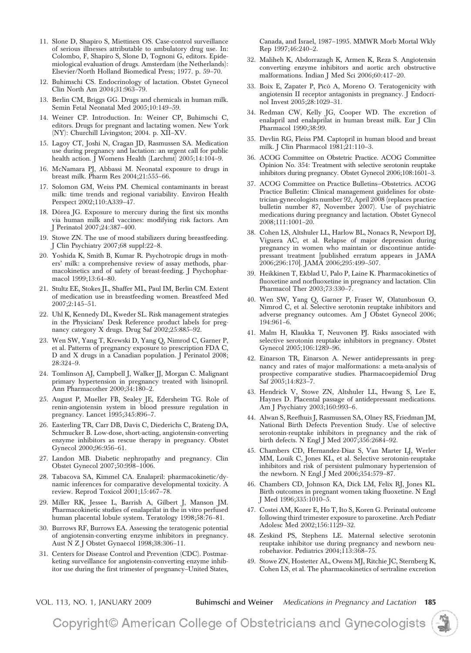- 11. Slone D, Shapiro S, Miettinen OS. Case-control surveillance of serious illnesses attributable to ambulatory drug use. In: Colombo, F, Shapiro S, Slone D, Tognoni G, editors. Epidemiological evaluation of drugs. Amsterdam (the Netherlands): Elsevier/North Holland Biomedical Press; 1977. p. 59–70.
- 12. Buhimschi CS. Endocrinology of lactation. Obstet Gynecol Clin North Am 2004;31:963–79.
- 13. Berlin CM, Briggs GG. Drugs and chemicals in human milk. Semin Fetal Neonatal Med 2005;10:149–59.
- 14. Weiner CP. Introduction. In: Weiner CP, Buhimschi C, editors. Drugs for pregnant and lactating women. New York (NY): Churchill Livingston; 2004. p. XII–XV.
- 15. Lagoy CT, Joshi N, Cragan JD, Rasmussen SA. Medication use during pregnancy and lactation: an urgent call for public health action. J Womens Health (Larchmt) 2005;14:104-9.
- 16. McNamara PJ, Abbassi M. Neonatal exposure to drugs in breast milk. Pharm Res 2004;21:555–66.
- 17. Solomon GM, Weiss PM. Chemical contaminants in breast milk: time trends and regional variability. Environ Health Perspect 2002;110:A339–47.
- 18. Dórea JG. Exposure to mercury during the first six months via human milk and vaccines: modifying risk factors. Am J Perinatol 2007;24:387–400.
- 19. Stowe ZN. The use of mood stabilizers during breastfeeding. J Clin Psychiatry 2007;68 suppl:22–8.
- 20. Yoshida K, Smith B, Kumar R. Psychotropic drugs in mothers' milk: a comprehensive review of assay methods, pharmacokinetics and of safety of breast-feeding. J Psychopharmacol 1999;13:64–80.
- 21. Stultz EE, Stokes JL, Shaffer ML, Paul IM, Berlin CM. Extent of medication use in breastfeeding women. Breastfeed Med 2007;2:145–51.
- 22. Uhl K, Kennedy DL, Kweder SL. Risk management strategies in the Physicians' Desk Reference product labels for pregnancy category X drugs. Drug Saf 2002;25:885–92.
- 23. Wen SW, Yang T, Krewski D, Yang Q, Nimrod C, Garner P, et al. Patterns of pregnancy exposure to prescription FDA C, D and X drugs in a Canadian population. J Perinatol 2008; 28:324–9.
- 24. Tomlinson AJ, Campbell J, Walker JJ, Morgan C. Malignant primary hypertension in pregnancy treated with lisinopril. Ann Pharmacother 2000;34:180–2.
- 25. August P, Mueller FB, Sealey JE, Edersheim TG. Role of renin-angiotensin system in blood pressure regulation in pregnancy. Lancet 1995;345:896–7.
- 26. Easterling TR, Carr DB, Davis C, Diederichs C, Brateng DA, Schmucker B. Low-dose, short-acting, angiotensin-converting enzyme inhibitors as rescue therapy in pregnancy. Obstet Gynecol 2000;96:956–61.
- 27. Landon MB. Diabetic nephropathy and pregnancy. Clin Obstet Gynecol 2007;50:998–1006.
- 28. Tabacova SA, Kimmel CA. Enalapril: pharmacokinetic/dynamic inferences for comparative developmental toxicity. A review. Reprod Toxicol 2001;15:467–78.
- 29. Miller RK, Jessee L, Barrish A, Gilbert J, Manson JM. Pharmacokinetic studies of enalaprilat in the in vitro perfused human placental lobule system. Teratology 1998;58:76–81.
- 30. Burrows RF, Burrows EA. Assessing the teratogenic potential of angiotensin-converting enzyme inhibitors in pregnancy. Aust N Z J Obstet Gynaecol 1998;38:306–11.
- 31. Centers for Disease Control and Prevention (CDC). Postmarketing surveillance for angiotensin-converting enzyme inhibitor use during the first trimester of pregnancy–United States,

Canada, and Israel, 1987–1995. MMWR Morb Mortal Wkly Rep 1997;46:240–2.

- 32. Maliheh K, Abdorrazagh K, Armen K, Reza S. Angiotensin converting enzyme inhibitors and aortic arch obstructive malformations. Indian J Med Sci 2006;60:417–20.
- 33. Boix E, Zapater P, Picó A, Moreno O. Teratogenicity with angiotensin II receptor antagonists in pregnancy. J Endocrinol Invest 2005;28:1029–31.
- 34. Redman CW, Kelly JG, Cooper WD. The excretion of enalapril and enalaprilat in human breast milk. Eur J Clin Pharmacol 1990;38:99.
- 35. Devlin RG, Fleiss PM. Captopril in human blood and breast milk. J Clin Pharmacol 1981;21:110–3.
- 36. ACOG Committee on Obstetric Practice. ACOG Committee Opinion No. 354: Treatment with selective serotonin reuptake inhibitors during pregnancy. Obstet Gynecol 2006;108:1601–3.
- 37. ACOG Committee on Practice Bulletins—Obstetrics. ACOG Practice Bulletin: Clinical management guidelines for obstetrician-gynecologists number 92, April 2008 (replaces practice bulletin number 87, November 2007). Use of psychiatric medications during pregnancy and lactation. Obstet Gynecol 2008;111:1001–20.
- 38. Cohen LS, Altshuler LL, Harlow BL, Nonacs R, Newport DJ, Viguera AC, et al. Relapse of major depression during pregnancy in women who maintain or discontinue antidepressant treatment [published erratum appears in JAMA 2006;296:170]. JAMA 2006;295:499–507.
- 39. Heikkinen T, Ekblad U, Palo P, Laine K. Pharmacokinetics of fluoxetine and norfluoxetine in pregnancy and lactation. Clin Pharmacol Ther 2003;73:330–7.
- 40. Wen SW, Yang Q, Garner P, Fraser W, Olatunbosun O, Nimrod C, et al. Selective serotonin reuptake inhibitors and adverse pregnancy outcomes. Am J Obstet Gynecol 2006; 194:961–6.
- 41. Malm H, Klaukka T, Neuvonen PJ. Risks associated with selective serotonin reuptake inhibitors in pregnancy. Obstet Gynecol 2005;106:1289–96.
- 42. Einarson TR, Einarson A. Newer antidepressants in pregnancy and rates of major malformations: a meta-analysis of prospective comparative studies. Pharmacoepidemiol Drug Saf 2005;14:823–7.
- 43. Hendrick V, Stowe ZN, Altshuler LL, Hwang S, Lee E, Haynes D. Placental passage of antidepressant medications. Am J Psychiatry 2003;160:993–6.
- 44. Alwan S, Reefhuis J, Rasmussen SA, Olney RS, Friedman JM, National Birth Defects Prevention Study. Use of selective serotonin-reuptake inhibitors in pregnancy and the risk of birth defects. N Engl J Med 2007;356:2684–92.
- 45. Chambers CD, Hernandez-Diaz S, Van Marter LJ, Werler MM, Louik C, Jones KL, et al. Selective serotonin-reuptake inhibitors and risk of persistent pulmonary hypertension of the newborn. N Engl J Med 2006;354:579–87.
- 46. Chambers CD, Johnson KA, Dick LM, Felix RJ, Jones KL. Birth outcomes in pregnant women taking fluoxetine. N Engl J Med 1996;335:1010–5.
- 47. Costei AM, Kozer E, Ho T, Ito S, Koren G. Perinatal outcome following third trimester exposure to paroxetine. Arch Pediatr Adolesc Med 2002;156:1129–32.
- 48. Zeskind PS, Stephens LE. Maternal selective serotonin reuptake inhibitor use during pregnancy and newborn neurobehavior. Pediatrics 2004;113:368–75.
- 49. Stowe ZN, Hostetter AL, Owens MJ, Ritchie JC, Sternberg K, Cohen LS, et al. The pharmacokinetics of sertraline excretion

VOL. 113, NO. 1, JANUARY 2009 **Buhimschi and Weiner** *Medications in Pregnancy and Lactation* **185**

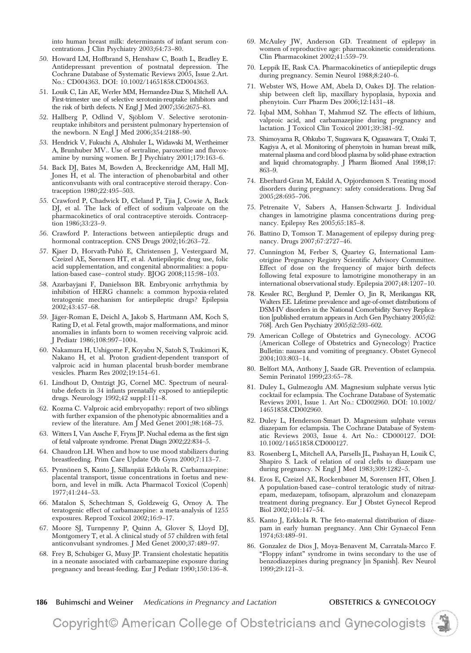into human breast milk: determinants of infant serum concentrations. J Clin Psychiatry 2003;64:73–80.

- 50. Howard LM, Hoffbrand S, Henshaw C, Boath L, Bradley E. Antidepressant prevention of postnatal depression. The Cochrane Database of Systematic Reviews 2005, Issue 2.Art. No.: CD004363. DOI: 10.1002/14651858.CD004363.
- 51. Louik C, Lin AE, Werler MM, Hernandez-Diaz S, Mitchell AA. First-trimester use of selective serotonin-reuptake inhibitors and the risk of birth defects. N Engl J Med 2007;356:2675–83.
- 52. Hallberg P, Odlind V, Sjöblom V. Selective serotoninreuptake inhibitors and persistent pulmonary hypertension of the newborn. N Engl J Med 2006;354:2188–90.
- 53. Hendrick V, Fukuchi A, Altshuler L, Widawski M, Wertheimer A, Brunhuber MV.. Use of sertraline, paroxetine and fluvoxamine by nursing women. Br J Psychiatry 2001;179:163–6.
- 54. Back DJ, Bates M, Bowden A, Breckenridge AM, Hall MJ, Jones H, et al. The interaction of phenobarbital and other anticonvulsants with oral contraceptive steroid therapy. Contraception 1980;22:495–503.
- 55. Crawford P, Chadwick D, Cleland P, Tjia J, Cowie A, Back DJ, et al. The lack of effect of sodium valproate on the pharmacokinetics of oral contraceptive steroids. Contraception 1986;33:23–9.
- 56. Crawford P. Interactions between antiepileptic drugs and hormonal contraception. CNS Drugs 2002;16:263-72.
- 57. Kjaer D, Horvath-Puho´ E, Christensen J, Vestergaard M, Czeizel AE, Sørensen HT, et al. Antiepileptic drug use, folic acid supplementation, and congenital abnormalities: a population-based case– control study. BJOG 2008;115:98–103.
- 58. Azarbayjani F, Danielsson BR. Embryonic arrhythmia by inhibition of HERG channels: a common hypoxia-related teratogenic mechanism for antiepileptic drugs? Epilepsia 2002;43:457–68.
- 59. Jäger-Roman E, Deichl A, Jakob S, Hartmann AM, Koch S, Rating D, et al. Fetal growth, major malformations, and minor anomalies in infants born to women receiving valproic acid. J Pediatr 1986;108:997–1004.
- 60. Nakamura H, Ushigome F, Koyabu N, Satoh S, Tsukimori K, Nakano H, et al. Proton gradient-dependent transport of valproic acid in human placental brush-border membrane vesicles. Pharm Res 2002;19:154–61.
- 61. Lindhout D, Omtzigt JG, Cornel MC. Spectrum of neuraltube defects in 34 infants prenatally exposed to antiepileptic drugs. Neurology 1992;42 suppl:111–8.
- 62. Kozma C. Valproic acid embryopathy: report of two siblings with further expansion of the phenotypic abnormalities and a review of the literature. Am J Med Genet 2001;98:168–75.
- 63. Witters I, Van Assche F, Fryns JP. Nuchal edema as the first sign of fetal valproate syndrome. Prenat Diagn 2002;22:834–5.
- 64. Chaudron LH. When and how to use mood stabilizers during breastfeeding. Prim Care Update Ob Gyns 2000;7:113–7.
- 65. Pynnönen S, Kanto J, Sillanpää Erkkola R. Carbamazepine: placental transport, tissue concentrations in foetus and newborn, and level in milk. Acta Pharmacol Toxicol (Copenh) 1977;41:244–53.
- 66. Matalon S, Schechtman S, Goldzweig G, Ornoy A. The teratogenic effect of carbamazepine: a meta-analysis of 1255 exposures. Reprod Toxicol 2002;16:9–17.
- 67. Moore SJ, Turnpenny P, Quinn A, Glover S, Lloyd DJ, Montgomery T, et al. A clinical study of 57 children with fetal anticonvulsant syndromes. J Med Genet 2000;37:489–97.
- 68. Frey B, Schubiger G, Musy JP. Transient cholestatic hepatitis in a neonate associated with carbamazepine exposure during pregnancy and breast-feeding. Eur J Pediatr 1990;150:136–8.
- 69. McAuley JW, Anderson GD. Treatment of epilepsy in women of reproductive age: pharmacokinetic considerations. Clin Pharmacokinet 2002;41:559–79.
- 70. Leppik IE, Rask CA. Pharmacokinetics of antiepileptic drugs during pregnancy. Semin Neurol 1988;8:240–6.
- 71. Webster WS, Howe AM, Abela D, Oakes DJ. The relationship between cleft lip, maxillary hypoplasia, hypoxia and phenytoin. Curr Pharm Des 2006;12:1431–48.
- 72. Iqbal MM, Sohhan T, Mahmud SZ. The effects of lithium, valproic acid, and carbamazepine during pregnancy and lactation. J Toxicol Clin Toxicol 2001;39:381–92.
- 73. Shimoyama R, Ohkubo T, Sugawara K, Ogasawara T, Ozaki T, Kagiya A, et al. Monitoring of phenytoin in human breast milk, maternal plasma and cord blood plasma by solid-phase extraction and liquid chromatography. J Pharm Biomed Anal 1998;17: 863–9.
- 74. Eberhard-Gran M, Eskild A, Opjordsmoen S. Treating mood disorders during pregnancy: safety considerations. Drug Saf 2005;28:695–706.
- 75. Petrenaite V, Sabers A, Hansen-Schwartz J. Individual changes in lamotrigine plasma concentrations during pregnancy. Epilepsy Res 2005;65:185–8.
- 76. Battino D, Tomson T. Management of epilepsy during pregnancy. Drugs 2007;67:2727–46.
- 77. Cunnington M, Ferber S, Quartey G, International Lamotrigine Pregnancy Registry Scientific Advisory Committee. Effect of dose on the frequency of major birth defects following fetal exposure to lamotrigine monotherapy in an international observational study. Epilepsia 2007;48:1207–10.
- 78. Kessler RC, Berglund P, Demler O, Jin R, Merikangas KR, Walters EE. Lifetime prevalence and age-of-onset distributions of DSM-IV disorders in the National Comorbidity Survey Replication [published erratum appears in Arch Gen Psychiatry 2005;62: 768]. Arch Gen Psychiatry 2005;62:593–602.
- 79. American College of Obstetrics and Gynecology. ACOG (American College of Obstetrics and Gynecology) Practice Bulletin: nausea and vomiting of pregnancy. Obstet Gynecol 2004;103:803–14.
- 80. Belfort MA, Anthony J, Saade GR. Prevention of eclampsia. Semin Perinatol 1999;23:65–78.
- 81. Duley L, Gulmezoglu AM. Magnesium sulphate versus lytic cocktail for eclampsia. The Cochrane Database of Systematic Reviews 2001, Issue 1. Art No.: CD002960. DOI: 10.1002/ 14651858.CD002960.
- 82. Duley L, Henderson-Smart D. Magnesium sulphate versus diazepam for eclampsia. The Cochrane Database of Systematic Reviews 2003, Issue 4. Art No.: CD000127. DOI: 10.1002/14651858.CD000127.
- 83. Rosenberg L, Mitchell AA, Parsells JL, Pashayan H, Louik C, Shapiro S. Lack of relation of oral clefts to diazepam use during pregnancy. N Engl J Med 1983;309:1282–5.
- 84. Eros E, Czeizel AE, Rockenbauer M, Sorensen HT, Olsen J. A population-based case– control teratologic study of nitrazepam, medazepam, tofisopam, alprazolum and clonazepam treatment during pregnancy. Eur J Obstet Gynecol Reprod Biol 2002;101:147–54.
- 85. Kanto J, Erkkola R. The feto-maternal distribution of diazepam in early human pregnancy. Ann Chir Gynaecol Fenn 1974;63:489–91.
- 86. Gonzalez de Dios J, Moya-Benavent M, Carratala-Marco F. "Floppy infant" syndrome in twins secondary to the use of benzodiazepines during pregnancy [in Spanish]. Rev Neurol 1999;29:121–3.
- **186 Buhimschi and Weiner** *Medications in Pregnancy and Lactation* **OBSTETRICS & GYNECOLOGY**

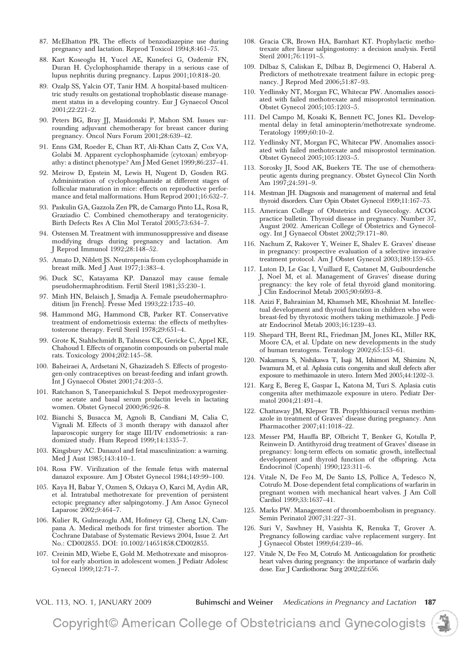- 87. McElhatton PR. The effects of benzodiazepine use during pregnancy and lactation. Reprod Toxicol 1994;8:461–75.
- 88. Kart Koseoglu H, Yucel AE, Kunefeci G, Ozdemir FN, Duran H. Cyclophosphamide therapy in a serious case of lupus nephritis during pregnancy. Lupus 2001;10:818–20.
- 89. Ozalp SS, Yalcin OT, Tanir HM. A hospital-based multicentric study results on gestational trophoblastic disease management status in a developing country. Eur J Gynaecol Oncol 2001;22:221–2.
- 90. Peters BG, Bray JJ, Masidonski P, Mahon SM. Issues surrounding adjuvant chemotherapy for breast cancer during pregnancy. Oncol Nurs Forum 2001;28:639–42.
- 91. Enns GM, Roeder E, Chan RT, Ali-Khan Catts Z, Cox VA, Golabi M. Apparent cyclophosphamide (cytoxan) embryopathy: a distinct phenotype? Am J Med Genet 1999;86:237–41.
- 92. Meirow D, Epstein M, Lewis H, Nugent D, Gosden RG. Administration of cyclophosphamide at different stages of follicular maturation in mice: effects on reproductive performance and fetal malformations. Hum Reprod 2001;16:632–7.
- 93. Paskulin GA, Gazzola Zen PR, de Camargo Pinto LL, Rosa R, Graziadio C. Combined chemotherapy and teratogenicity. Birth Defects Res A Clin Mol Teratol 2005;73:634–7.
- 94. Ostensen M. Treatment with immunosuppressive and disease modifying drugs during pregnancy and lactation. Am J Reprod Immunol 1992;28:148–52.
- 95. Amato D, Niblett JS. Neutropenia from cyclophosphamide in breast milk. Med J Aust 1977;1:383–4.
- 96. Duck SC, Katayama KP. Danazol may cause female pseudohermaphroditism. Fertil Steril 1981;35:230–1.
- 97. Minh HN, Belaisch J, Smadja A. Female pseudohermaphroditism [in French]. Presse Med 1993;22:1735–40.
- 98. Hammond MG, Hammond CB, Parker RT. Conservative treatment of endometriosis externa: the effects of methyltestosterone therapy. Fertil Steril 1978;29:651–4.
- 99. Grote K, Stahlschmidt B, Talsness CE, Gericke C, Appel KE, Chahoud I. Effects of organotin compounds on pubertal male rats. Toxicology 2004;202:145–58.
- 100. Baheiraei A, Ardsetani N, Ghazizadeh S. Effects of progestogen-only contraceptives on breast-feeding and infant growth. Int J Gynaecol Obstet 2001;74:203–5.
- 101. Ratchanon S, Taneepanichskul S. Depot medroxyprogesterone acetate and basal serum prolactin levels in lactating women. Obstet Gynecol 2000;96:926–8.
- 102. Bianchi S, Busacca M, Agnoli B, Candiani M, Calia C, Vignali M. Effects of 3 month therapy with danazol after laparoscopic surgery for stage III/IV endometriosis: a randomized study. Hum Reprod 1999;14:1335–7.
- 103. Kingsbury AC. Danazol and fetal masculinization: a warning. Med J Aust 1985;143:410–1.
- 104. Rosa FW. Virilization of the female fetus with maternal danazol exposure. Am J Obstet Gynecol 1984;149:99–100.
- 105. Kaya H, Babar Y, Ozmen S, Ozkaya O, Karci M, Aydin AR, et al. Intratubal methotrexate for prevention of persistent ectopic pregnancy after salpingotomy. J Am Assoc Gynecol Laparosc 2002;9:464–7.
- 106. Kulier R, Gulmezoglu AM, Hofmeyr GJ, Cheng LN, Campana A. Medical methods for first trimester abortion. The Cochrane Database of Systematic Reviews 2004, Issue 2. Art No.: CD002855. DOI: 10.1002/14651858.CD002855.
- 107. Creinin MD, Wiebe E, Gold M. Methotrexate and misoprostol for early abortion in adolescent women. J Pediatr Adolesc Gynecol 1999;12:71–7.
- 108. Gracia CR, Brown HA, Barnhart KT. Prophylactic methotrexate after linear salpingostomy: a decision analysis. Fertil Steril 2001;76:1191–5.
- 109. Dilbaz S, Caliskan E, Dilbaz B, Degirmenci O, Haberal A. Predictors of methotrexate treatment failure in ectopic pregnancy. J Reprod Med 2006;51:87–93.
- 110. Yedlinsky NT, Morgan FC, Whitecar PW. Anomalies associated with failed methotrexate and misoprostol termination. Obstet Gynecol 2005;105:1203–5.
- 111. Del Campo M, Kosaki K, Bennett FC, Jones KL. Developmental delay in fetal aminopterin/methotrexate syndrome. Teratology 1999;60:10–2.
- 112. Yedlinsky NT, Morgan FC, Whitecar PW. Anomalies associated with failed methotrexate and misoprostol termination. Obstet Gynecol 2005;105:1203–5.
- 113. Sorosky JI, Sood AK, Buekers TE. The use of chemotherapeutic agents during pregnancy. Obstet Gynecol Clin North Am 1997;24:591–9.
- 114. Mestman JH. Diagnosis and management of maternal and fetal thyroid disorders. Curr Opin Obstet Gynecol 1999;11:167–75.
- 115. American College of Obstetrics and Gynecology. ACOG practice bulletin. Thyroid disease in pregnancy. Number 37, August 2002. American College of Obstetrics and Gynecology. Int J Gynaecol Obstet 2002;79:171–80.
- 116. Nachum Z, Rakover Y, Weiner E, Shalev E. Graves' disease in pregnancy: prospective evaluation of a selective invasive treatment protocol. Am J Obstet Gynecol 2003;189:159–65.
- 117. Luton D, Le Gac I, Vuillard E, Castanet M, Guibourdenche J, Noel M, et al. Management of Graves' disease during pregnancy: the key role of fetal thyroid gland monitoring. J Clin Endocrinol Metab 2005;90:6093–8.
- 118. Azizi F, Bahrainian M, Khamseh ME, Khoshniat M. Intellectual development and thyroid function in children who were breast-fed by thyrotoxic mothers taking methimazole. J Pediatr Endocrinol Metab 2003;16:1239–43.
- 119. Shepard TH, Brent RL, Friedman JM, Jones KL, Miller RK, Moore CA, et al. Update on new developments in the study of human teratogens. Teratology 2002;65:153–61.
- 120. Nakamura S, Nishikawa T, Isaji M, Ishimori M, Shimizu N, Iwamura M, et al. Aplasia cutis congenita and skull defects after exposure to methimazole in utero. Intern Med 2005;44:1202–3.
- 121. Karg E, Bereg E, Gaspar L, Katona M, Turi S. Aplasia cutis congenita after methimazole exposure in utero. Pediatr Dermatol 2004;21:491–4.
- 122. Chattaway JM, Klepser TB. Propylthiouracil versus methimazole in treatment of Graves' disease during pregnancy. Ann Pharmacother 2007;41:1018–22.
- 123. Messer PM, Hauffa BP, Olbricht T, Benker G, Kotulla P, Reinwein D. Antithyroid drug treatment of Graves' disease in pregnancy: long-term effects on somatic growth, intellectual development and thyroid function of the offspring. Acta Endocrinol (Copenh) 1990;123:311–6.
- 124. Vitale N, De Feo M, De Santo LS, Pollice A, Tedesco N, Cotrufo M. Dose-dependent fetal complications of warfarin in pregnant women with mechanical heart valves. J Am Coll Cardiol 1999;33:1637–41.
- 125. Marks PW. Management of thromboembolism in pregnancy. Semin Perinatol 2007;31:227–31.
- 126. Suri V, Sawhney H, Vasishta K, Renuka T, Grover A. Pregnancy following cardiac valve replacement surgery. Int J Gynaecol Obstet 1999;64:239–46.
- 127. Vitale N, De Feo M, Cotrufo M. Anticoagulation for prosthetic heart valves during pregnancy: the importance of warfarin daily dose. Eur J Cardiothorac Surg 2002;22:656.

VOL. 113, NO. 1, JANUARY 2009 **Buhimschi and Weiner** *Medications in Pregnancy and Lactation* **187**